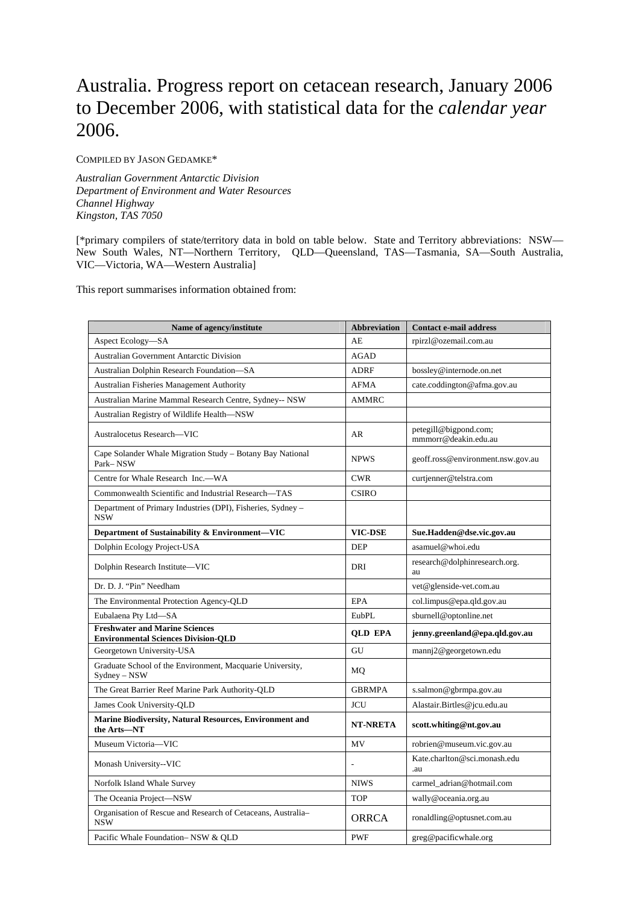# Australia. Progress report on cetacean research, January 2006 to December 2006, with statistical data for the *calendar year* 2006.

COMPILED BY JASON GEDAMKE\*

*Australian Government Antarctic Division Department of Environment and Water Resources Channel Highway Kingston, TAS 7050* 

[\*primary compilers of state/territory data in bold on table below. State and Territory abbreviations: NSW— New South Wales, NT—Northern Territory, QLD—Queensland, TAS—Tasmania, SA—South Australia, VIC—Victoria, WA—Western Australia]

This report summarises information obtained from:

| Name of agency/institute                                                            | <b>Abbreviation</b> | <b>Contact e-mail address</b>                 |
|-------------------------------------------------------------------------------------|---------------------|-----------------------------------------------|
| Aspect Ecology-SA                                                                   | AE                  | rpirzl@ozemail.com.au                         |
| Australian Government Antarctic Division                                            | <b>AGAD</b>         |                                               |
| Australian Dolphin Research Foundation-SA                                           | <b>ADRF</b>         | bossley@internode.on.net                      |
| <b>Australian Fisheries Management Authority</b>                                    | <b>AFMA</b>         | cate.coddington@afma.gov.au                   |
| Australian Marine Mammal Research Centre, Sydney-- NSW                              | <b>AMMRC</b>        |                                               |
| Australian Registry of Wildlife Health-NSW                                          |                     |                                               |
| Australocetus Research—VIC                                                          | AR                  | petegill@bigpond.com;<br>mmmorr@deakin.edu.au |
| Cape Solander Whale Migration Study – Botany Bay National<br>Park-NSW               | <b>NPWS</b>         | geoff.ross@environment.nsw.gov.au             |
| Centre for Whale Research Inc.--WA                                                  | <b>CWR</b>          | curtjenner@telstra.com                        |
| Commonwealth Scientific and Industrial Research-TAS                                 | <b>CSIRO</b>        |                                               |
| Department of Primary Industries (DPI), Fisheries, Sydney -<br><b>NSW</b>           |                     |                                               |
| Department of Sustainability & Environment-VIC                                      | <b>VIC-DSE</b>      | Sue.Hadden@dse.vic.gov.au                     |
| Dolphin Ecology Project-USA                                                         | <b>DEP</b>          | asamuel@whoi.edu                              |
| Dolphin Research Institute-VIC                                                      | DRI                 | research@dolphinresearch.org.<br>au           |
| Dr. D. J. "Pin" Needham                                                             |                     | vet@glenside-vet.com.au                       |
| The Environmental Protection Agency-QLD                                             | <b>EPA</b>          | col.limpus@epa.qld.gov.au                     |
| Eubalaena Pty Ltd-SA                                                                | EubPL               | sburnell@optonline.net                        |
| <b>Freshwater and Marine Sciences</b><br><b>Environmental Sciences Division-QLD</b> | <b>QLD EPA</b>      | jenny.greenland@epa.qld.gov.au                |
| Georgetown University-USA                                                           | GU                  | mannj2@georgetown.edu                         |
| Graduate School of the Environment, Macquarie University,<br>Sydney - NSW           | MQ                  |                                               |
| The Great Barrier Reef Marine Park Authority-QLD                                    | <b>GBRMPA</b>       | s.salmon@gbrmpa.gov.au                        |
| James Cook University-QLD                                                           | <b>JCU</b>          | Alastair.Birtles@jcu.edu.au                   |
| <b>Marine Biodiversity, Natural Resources, Environment and</b><br>the Arts-NT       | <b>NT-NRETA</b>     | scott.whiting@nt.gov.au                       |
| Museum Victoria-VIC                                                                 | MV                  | robrien@museum.vic.gov.au                     |
| Monash University--VIC                                                              |                     | Kate.charlton@sci.monash.edu<br>.au           |
| Norfolk Island Whale Survey                                                         | <b>NIWS</b>         | carmel_adrian@hotmail.com                     |
| The Oceania Project-NSW                                                             | <b>TOP</b>          | wally@oceania.org.au                          |
| Organisation of Rescue and Research of Cetaceans, Australia-<br><b>NSW</b>          | <b>ORRCA</b>        | ronaldling@optusnet.com.au                    |
| Pacific Whale Foundation-NSW & QLD                                                  | <b>PWF</b>          | greg@pacificwhale.org                         |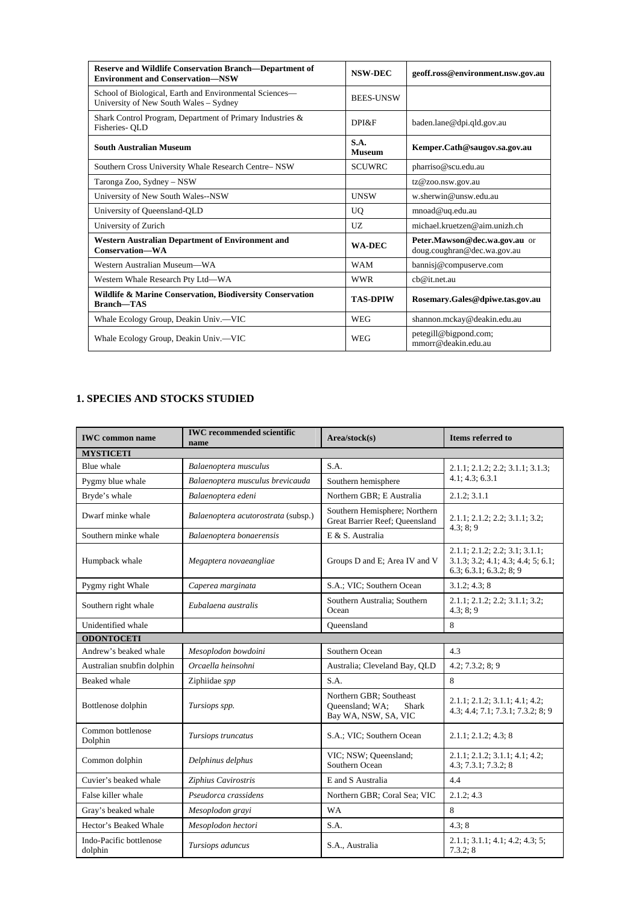| <b>Reserve and Wildlife Conservation Branch—Department of</b><br><b>Environment and Conservation-NSW</b> | <b>NSW-DEC</b>        | geoff.ross@environment.nsw.gov.au                            |
|----------------------------------------------------------------------------------------------------------|-----------------------|--------------------------------------------------------------|
| School of Biological, Earth and Environmental Sciences—<br>University of New South Wales - Sydney        | <b>BEES-UNSW</b>      |                                                              |
| Shark Control Program, Department of Primary Industries &<br>Fisheries- QLD                              | DPRF                  | baden.lane@dpi.qld.gov.au                                    |
| <b>South Australian Museum</b>                                                                           | S.A.<br><b>Museum</b> | Kemper.Cath@saugov.sa.gov.au                                 |
| Southern Cross University Whale Research Centre-NSW                                                      | <b>SCUWRC</b>         | pharriso@scu.edu.au                                          |
| Taronga Zoo, Sydney – NSW                                                                                |                       | tz@zoo.nsw.gov.au                                            |
| University of New South Wales--NSW                                                                       | <b>UNSW</b>           | w.sherwin@unsw.edu.au                                        |
| University of Queensland-QLD                                                                             | UO                    | mnoad@uq.edu.au                                              |
| University of Zurich                                                                                     | UZ.                   | michael.kruetzen@aim.unizh.ch                                |
| <b>Western Australian Department of Environment and</b><br>Conservation-WA                               | <b>WA-DEC</b>         | Peter.Mawson@dec.wa.gov.au or<br>doug.coughran@dec.wa.gov.au |
| Western Australian Museum—WA                                                                             | <b>WAM</b>            | bannisj@compuserve.com                                       |
| Western Whale Research Pty Ltd-WA                                                                        | <b>WWR</b>            | ch@it.net.au                                                 |
| Wildlife & Marine Conservation, Biodiversity Conservation<br><b>Branch-TAS</b>                           | <b>TAS-DPIW</b>       | Rosemary.Gales@dpiwe.tas.gov.au                              |
| Whale Ecology Group, Deakin Univ.—VIC                                                                    | <b>WEG</b>            | shannon.mckay@deakin.edu.au                                  |
| Whale Ecology Group, Deakin Univ.—VIC                                                                    | WEG                   | petegill@bigpond.com;<br>mmorr@deakin.edu.au                 |

# **1. SPECIES AND STOCKS STUDIED**

| <b>IWC</b> common name             | <b>IWC</b> recommended scientific<br>name | Area/stock(s)                                                                      | Items referred to                                                                                                    |  |
|------------------------------------|-------------------------------------------|------------------------------------------------------------------------------------|----------------------------------------------------------------------------------------------------------------------|--|
| <b>MYSTICETI</b>                   |                                           |                                                                                    |                                                                                                                      |  |
| Blue whale                         | Balaenoptera musculus                     | S.A.                                                                               | 2.1.1; 2.1.2; 2.2; 3.1.1; 3.1.3;                                                                                     |  |
| Pygmy blue whale                   | Balaenoptera musculus brevicauda          | Southern hemisphere                                                                | 4.1; 4.3; 6.3.1                                                                                                      |  |
| Bryde's whale                      | Balaenoptera edeni                        | Northern GBR; E Australia                                                          | 2.1.2; 3.1.1                                                                                                         |  |
| Dwarf minke whale                  | Balaenoptera acutorostrata (subsp.)       | Southern Hemisphere; Northern<br>Great Barrier Reef; Queensland                    | 2.1.1; 2.1.2; 2.2; 3.1.1; 3.2;<br>4.3; 8; 9                                                                          |  |
| Southern minke whale               | Balaenoptera bonaerensis                  | E & S. Australia                                                                   |                                                                                                                      |  |
| Humpback whale                     | Megaptera novaeangliae                    | Groups D and E; Area IV and V                                                      | 2.1.1; 2.1.2; 2.2; 3.1; 3.1.1;<br>$3.1.3$ ; $3.2$ ; $4.1$ ; $4.3$ ; $4.4$ ; $5$ ; $6.1$ ;<br>6.3; 6.3.1; 6.3.2; 8; 9 |  |
| Pygmy right Whale                  | Caperea marginata                         | S.A.; VIC; Southern Ocean                                                          | 3.1.2; 4.3; 8                                                                                                        |  |
| Southern right whale               | Eubalaena australis                       | Southern Australia; Southern<br>Ocean                                              | 2.1.1; 2.1.2; 2.2; 3.1.1; 3.2;<br>4.3; 8; 9                                                                          |  |
| Unidentified whale                 |                                           | Oueensland                                                                         | 8                                                                                                                    |  |
| <b>ODONTOCETI</b>                  |                                           |                                                                                    |                                                                                                                      |  |
| Andrew's beaked whale              | Mesoplodon bowdoini                       | Southern Ocean                                                                     | 4.3                                                                                                                  |  |
| Australian snubfin dolphin         | Orcaella heinsohni                        | Australia; Cleveland Bay, QLD                                                      | 4.2; 7.3.2; 8; 9                                                                                                     |  |
| Beaked whale                       | Ziphiidae spp                             | S.A.                                                                               | 8                                                                                                                    |  |
| Bottlenose dolphin                 | Tursiops spp.                             | Northern GBR: Southeast<br>Queensland; WA;<br><b>Shark</b><br>Bay WA, NSW, SA, VIC | 2.1.1; 2.1.2; 3.1.1; 4.1; 4.2;<br>4.3; 4.4; 7.1; 7.3.1; 7.3.2; 8; 9                                                  |  |
| Common bottlenose<br>Dolphin       | Tursiops truncatus                        | S.A.; VIC; Southern Ocean                                                          | 2.1.1; 2.1.2; 4.3; 8                                                                                                 |  |
| Common dolphin                     | Delphinus delphus                         | VIC; NSW; Queensland;<br>Southern Ocean                                            | 2.1.1; 2.1.2; 3.1.1; 4.1; 4.2;<br>4.3; 7.3.1; 7.3.2; 8                                                               |  |
| Cuvier's beaked whale              | Ziphius Cavirostris                       | E and S Australia                                                                  | 4.4                                                                                                                  |  |
| False killer whale                 | Pseudorca crassidens                      | Northern GBR; Coral Sea; VIC                                                       | 2.1.2; 4.3                                                                                                           |  |
| Gray's beaked whale                | Mesoplodon grayi                          | <b>WA</b>                                                                          | 8                                                                                                                    |  |
| Hector's Beaked Whale              | Mesoplodon hectori                        | S.A.                                                                               | 4.3:8                                                                                                                |  |
| Indo-Pacific bottlenose<br>dolphin | Tursiops aduncus                          | S.A., Australia                                                                    | $2.1.1$ ; $3.1.1$ ; $4.1$ ; $4.2$ ; $4.3$ ; $5$ ;<br>7.3.2; 8                                                        |  |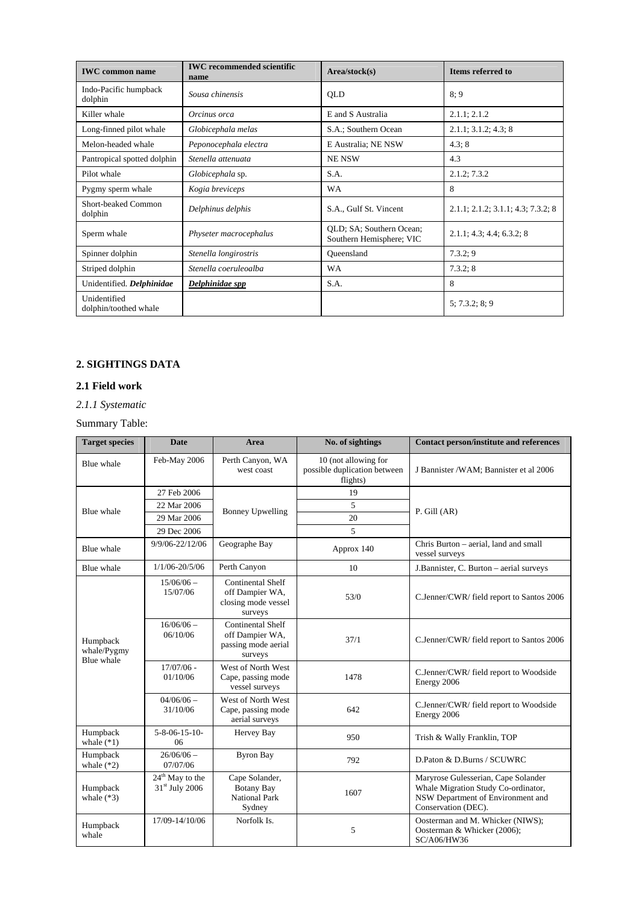| <b>IWC</b> common name                | <b>IWC</b> recommended scientific<br>name | Area/stock(s)                                        | Items referred to                  |
|---------------------------------------|-------------------------------------------|------------------------------------------------------|------------------------------------|
| Indo-Pacific humpback<br>dolphin      | Sousa chinensis                           | <b>OLD</b>                                           | 8:9                                |
| Killer whale                          | Orcinus orca                              | E and S Australia                                    | 2.1.1; 2.1.2                       |
| Long-finned pilot whale               | Globicephala melas                        | S.A.; Southern Ocean                                 | 2.1.1; 3.1.2; 4.3; 8               |
| Melon-headed whale                    | Peponocephala electra                     | E Australia; NE NSW                                  | 4.3; 8                             |
| Pantropical spotted dolphin           | Stenella attenuata                        | <b>NE NSW</b>                                        | 4.3                                |
| Pilot whale                           | Globicephala sp.                          | S.A.                                                 | 2.1.2; 7.3.2                       |
| Pygmy sperm whale                     | Kogia breviceps                           | WA                                                   | 8                                  |
| Short-beaked Common<br>dolphin        | Delphinus delphis                         | S.A., Gulf St. Vincent                               | 2.1.1; 2.1.2; 3.1.1; 4.3; 7.3.2; 8 |
| Sperm whale                           | Physeter macrocephalus                    | QLD; SA; Southern Ocean;<br>Southern Hemisphere; VIC | 2.1.1; 4.3; 4.4; 6.3.2; 8          |
| Spinner dolphin                       | Stenella longirostris                     | Oueensland                                           | 7.3.2; 9                           |
| Striped dolphin                       | Stenella coeruleoalba                     | <b>WA</b>                                            | 7.3.2; 8                           |
| Unidentified. Delphinidae             | Delphinidae spp                           | S.A.                                                 | 8                                  |
| Unidentified<br>dolphin/toothed whale |                                           |                                                      | 5: 7.3.2: 8: 9                     |

# **2. SIGHTINGS DATA**

# **2.1 Field work**

# *2.1.1 Systematic*

# Summary Table:

| <b>Target species</b>                 | <b>Date</b>                                                                                    | Area                                                                          | No. of sightings                                                 | <b>Contact person/institute and references</b>                                                                                         |  |  |  |
|---------------------------------------|------------------------------------------------------------------------------------------------|-------------------------------------------------------------------------------|------------------------------------------------------------------|----------------------------------------------------------------------------------------------------------------------------------------|--|--|--|
| Blue whale                            | Feb-May 2006                                                                                   | Perth Canyon, WA<br>west coast                                                | 10 (not allowing for<br>possible duplication between<br>flights) | J Bannister / WAM: Bannister et al 2006                                                                                                |  |  |  |
|                                       | 27 Feb 2006                                                                                    |                                                                               | 19                                                               |                                                                                                                                        |  |  |  |
| Blue whale                            | 22 Mar 2006                                                                                    | <b>Bonney Upwelling</b>                                                       | 5                                                                | $P.$ Gill $(AR)$                                                                                                                       |  |  |  |
|                                       | 29 Mar 2006                                                                                    |                                                                               | 20                                                               |                                                                                                                                        |  |  |  |
|                                       | 29 Dec 2006                                                                                    |                                                                               | 5                                                                |                                                                                                                                        |  |  |  |
| Blue whale                            | 9/9/06-22/12/06                                                                                | Geographe Bay                                                                 | Approx 140                                                       | Chris Burton – aerial, land and small<br>vessel surveys                                                                                |  |  |  |
| Blue whale                            | $1/1/06 - 20/5/06$                                                                             | Perth Canyon                                                                  | 10                                                               | J.Bannister, C. Burton - aerial surveys                                                                                                |  |  |  |
|                                       | $15/06/06$ -<br>15/07/06                                                                       | Continental Shelf<br>off Dampier WA,<br>closing mode vessel<br>surveys        | 53/0                                                             | C.Jenner/CWR/field report to Santos 2006                                                                                               |  |  |  |
| Humpback<br>whale/Pygmy<br>Blue whale | $16/06/06$ -<br>06/10/06                                                                       | <b>Continental Shelf</b><br>off Dampier WA,<br>passing mode aerial<br>surveys | 37/1                                                             | C.Jenner/CWR/field report to Santos 2006                                                                                               |  |  |  |
|                                       | $17/07/06$ -<br>West of North West<br>Cape, passing mode<br>01/10/06<br>1478<br>vessel surveys |                                                                               | C.Jenner/CWR/field report to Woodside<br>Energy 2006             |                                                                                                                                        |  |  |  |
|                                       | $04/06/06$ -<br>31/10/06                                                                       | West of North West<br>Cape, passing mode<br>aerial surveys                    | 642                                                              | C.Jenner/CWR/field report to Woodside<br>Energy 2006                                                                                   |  |  |  |
| Humpback<br>whale $(*1)$              | $5 - 8 - 06 - 15 - 10$<br>06                                                                   | Hervey Bay                                                                    | 950                                                              | Trish & Wally Franklin, TOP                                                                                                            |  |  |  |
| Humpback<br>whale $(*2)$              | $26/06/06$ -<br>07/07/06                                                                       | <b>Byron Bay</b>                                                              | 792                                                              | D.Paton & D.Burns / SCUWRC                                                                                                             |  |  |  |
| Humpback<br>whale $(*3)$              | 24 <sup>th</sup> May to the<br>$31st$ July 2006                                                | Cape Solander,<br><b>Botany Bay</b><br>National Park<br>Sydney                | 1607                                                             | Maryrose Gulesserian, Cape Solander<br>Whale Migration Study Co-ordinator,<br>NSW Department of Environment and<br>Conservation (DEC). |  |  |  |
| Humpback<br>whale                     | 17/09-14/10/06                                                                                 | Norfolk Is.                                                                   | 5                                                                | Oosterman and M. Whicker (NIWS);<br>Oosterman & Whicker (2006);<br>SC/A06/HW36                                                         |  |  |  |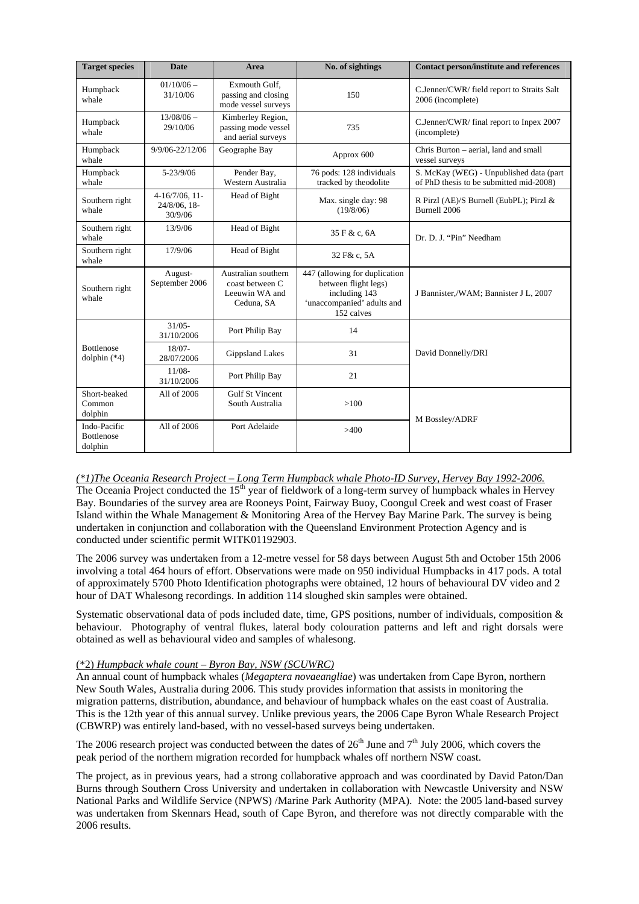| <b>Target species</b>                        | <b>Date</b>                                  | Area                                                                   | No. of sightings                                                                                                   | <b>Contact person/institute and references</b>                                     |  |  |
|----------------------------------------------|----------------------------------------------|------------------------------------------------------------------------|--------------------------------------------------------------------------------------------------------------------|------------------------------------------------------------------------------------|--|--|
| Humpback<br>whale                            | $01/10/06 -$<br>31/10/06                     | Exmouth Gulf.<br>passing and closing<br>mode vessel surveys            | 150                                                                                                                | C.Jenner/CWR/ field report to Straits Salt<br>2006 (incomplete)                    |  |  |
| Humpback<br>whale                            | $13/08/06$ -<br>29/10/06                     | Kimberley Region,<br>passing mode vessel<br>and aerial surveys         | 735                                                                                                                | C.Jenner/CWR/final report to Inpex 2007<br>(incomplete)                            |  |  |
| Humpback<br>whale                            | 9/9/06-22/12/06                              | Geographe Bay                                                          | Approx 600                                                                                                         | Chris Burton - aerial, land and small<br>vessel surveys                            |  |  |
| Humpback<br>whale                            | $5 - 23/9/06$                                | Pender Bay,<br>Western Australia                                       | 76 pods: 128 individuals<br>tracked by theodolite                                                                  | S. McKay (WEG) - Unpublished data (part<br>of PhD thesis to be submitted mid-2008) |  |  |
| Southern right<br>whale                      | $4-16/7/06$ , 11-<br>24/8/06, 18-<br>30/9/06 | Head of Bight                                                          | Max. single day: 98<br>(19/8/06)                                                                                   | R Pirzl (AE)/S Burnell (EubPL); Pirzl &<br>Burnell 2006                            |  |  |
| Southern right<br>whale                      | 13/9/06                                      | Head of Bight                                                          | 35 F & c, 6A                                                                                                       | Dr. D. J. "Pin" Needham                                                            |  |  |
| Southern right<br>whale                      | 17/9/06                                      | Head of Bight                                                          | 32 F& c, 5A                                                                                                        |                                                                                    |  |  |
| Southern right<br>whale                      | August-<br>September 2006                    | Australian southern<br>coast between C<br>Leeuwin WA and<br>Ceduna, SA | 447 (allowing for duplication<br>between flight legs)<br>including 143<br>'unaccompanied' adults and<br>152 calves | J Bannister,/WAM; Bannister J L, 2007                                              |  |  |
|                                              | $31/05 -$<br>31/10/2006                      | Port Philip Bay                                                        | 14                                                                                                                 |                                                                                    |  |  |
| <b>Bottlenose</b><br>dolphin $(*4)$          | $18/07 -$<br>28/07/2006                      | <b>Gippsland Lakes</b>                                                 | 31                                                                                                                 | David Donnelly/DRI                                                                 |  |  |
|                                              | $11/08-$<br>31/10/2006                       | Port Philip Bay                                                        | 21                                                                                                                 |                                                                                    |  |  |
| Short-beaked<br>Common<br>dolphin            | All of 2006                                  | <b>Gulf St Vincent</b><br>South Australia                              | >100                                                                                                               | M Bossley/ADRF                                                                     |  |  |
| Indo-Pacific<br><b>Bottlenose</b><br>dolphin | All of 2006                                  | Port Adelaide                                                          | >400                                                                                                               |                                                                                    |  |  |

#### *(\*1)The Oceania Research Project – Long Term Humpback whale Photo-ID Survey, Hervey Bay 1992-2006.* The Oceania Project conducted the 15<sup>th</sup> year of fieldwork of a long-term survey of humpback whales in Hervey Bay. Boundaries of the survey area are Rooneys Point, Fairway Buoy, Coongul Creek and west coast of Fraser Island within the Whale Management & Monitoring Area of the Hervey Bay Marine Park. The survey is being undertaken in conjunction and collaboration with the Queensland Environment Protection Agency and is conducted under scientific permit WITK01192903.

The 2006 survey was undertaken from a 12-metre vessel for 58 days between August 5th and October 15th 2006 involving a total 464 hours of effort. Observations were made on 950 individual Humpbacks in 417 pods. A total of approximately 5700 Photo Identification photographs were obtained, 12 hours of behavioural DV video and 2 hour of DAT Whalesong recordings. In addition 114 sloughed skin samples were obtained.

Systematic observational data of pods included date, time, GPS positions, number of individuals, composition & behaviour. Photography of ventral flukes, lateral body colouration patterns and left and right dorsals were obtained as well as behavioural video and samples of whalesong.

# (\*2) *Humpback whale count – Byron Bay, NSW (SCUWRC)*

An annual count of humpback whales (*Megaptera novaeangliae*) was undertaken from Cape Byron, northern New South Wales, Australia during 2006. This study provides information that assists in monitoring the migration patterns, distribution, abundance, and behaviour of humpback whales on the east coast of Australia. This is the 12th year of this annual survey. Unlike previous years, the 2006 Cape Byron Whale Research Project (CBWRP) was entirely land-based, with no vessel-based surveys being undertaken.

The 2006 research project was conducted between the dates of  $26<sup>th</sup>$  June and  $7<sup>th</sup>$  July 2006, which covers the peak period of the northern migration recorded for humpback whales off northern NSW coast.

The project, as in previous years, had a strong collaborative approach and was coordinated by David Paton/Dan Burns through Southern Cross University and undertaken in collaboration with Newcastle University and NSW National Parks and Wildlife Service (NPWS) /Marine Park Authority (MPA). Note: the 2005 land-based survey was undertaken from Skennars Head, south of Cape Byron, and therefore was not directly comparable with the 2006 results.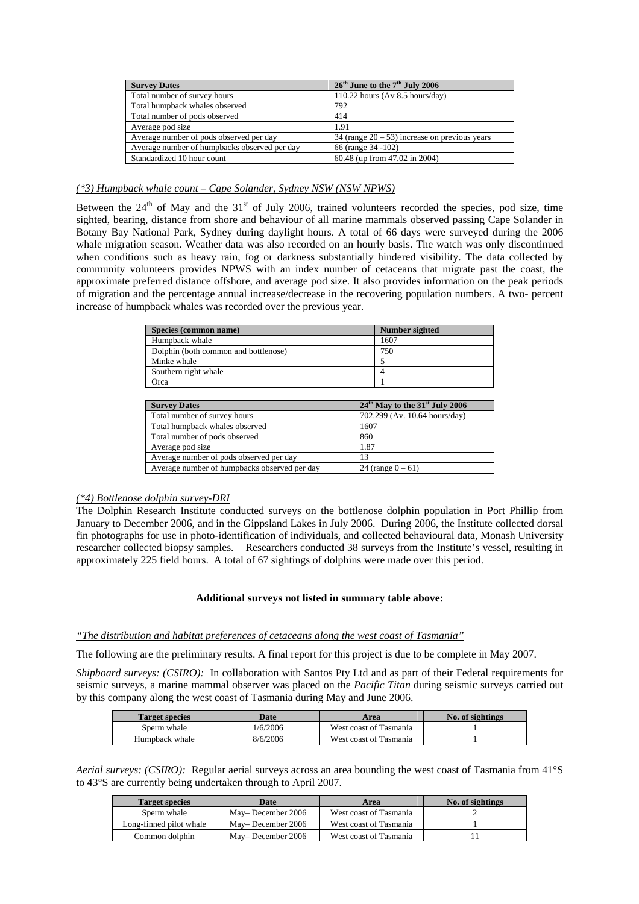| <b>Survey Dates</b>                          | $26th$ June to the $7th$ July 2006               |
|----------------------------------------------|--------------------------------------------------|
| Total number of survey hours                 | 110.22 hours (Av $8.5$ hours/day)                |
| Total humpback whales observed               | 792                                              |
| Total number of pods observed                | 414                                              |
| Average pod size                             | 1.91                                             |
| Average number of pods observed per day      | 34 (range $20 - 53$ ) increase on previous years |
| Average number of humpbacks observed per day | 66 (range 34 -102)                               |
| Standardized 10 hour count                   | 60.48 (up from 47.02 in 2004)                    |

# *(\*3) Humpback whale count – Cape Solander, Sydney NSW (NSW NPWS)*

Between the  $24<sup>th</sup>$  of May and the  $31<sup>st</sup>$  of July 2006, trained volunteers recorded the species, pod size, time sighted, bearing, distance from shore and behaviour of all marine mammals observed passing Cape Solander in Botany Bay National Park, Sydney during daylight hours. A total of 66 days were surveyed during the 2006 whale migration season. Weather data was also recorded on an hourly basis. The watch was only discontinued when conditions such as heavy rain, fog or darkness substantially hindered visibility. The data collected by community volunteers provides NPWS with an index number of cetaceans that migrate past the coast, the approximate preferred distance offshore, and average pod size. It also provides information on the peak periods of migration and the percentage annual increase/decrease in the recovering population numbers. A two- percent increase of humpback whales was recorded over the previous year.

| Species (common name)                | Number sighted |
|--------------------------------------|----------------|
| Humpback whale                       | 1607           |
| Dolphin (both common and bottlenose) | 750            |
| Minke whale                          |                |
| Southern right whale                 |                |
| Orca                                 |                |

| <b>Survey Dates</b>                          | 24 <sup>th</sup> May to the 31 <sup>st</sup> July 2006 |
|----------------------------------------------|--------------------------------------------------------|
| Total number of survey hours                 | 702.299 (Av. 10.64 hours/day)                          |
| Total humpback whales observed               | 1607                                                   |
| Total number of pods observed                | 860                                                    |
| Average pod size                             | 1.87                                                   |
| Average number of pods observed per day      | 13                                                     |
| Average number of humpbacks observed per day | 24 (range $0 - 61$ )                                   |

#### *(\*4) Bottlenose dolphin survey-DRI*

The Dolphin Research Institute conducted surveys on the bottlenose dolphin population in Port Phillip from January to December 2006, and in the Gippsland Lakes in July 2006. During 2006, the Institute collected dorsal fin photographs for use in photo-identification of individuals, and collected behavioural data, Monash University researcher collected biopsy samples. Researchers conducted 38 surveys from the Institute's vessel, resulting in approximately 225 field hours. A total of 67 sightings of dolphins were made over this period.

#### **Additional surveys not listed in summary table above:**

#### *"The distribution and habitat preferences of cetaceans along the west coast of Tasmania"*

The following are the preliminary results. A final report for this project is due to be complete in May 2007.

*Shipboard surveys: (CSIRO):* In collaboration with Santos Pty Ltd and as part of their Federal requirements for seismic surveys, a marine mammal observer was placed on the *Pacific Titan* during seismic surveys carried out by this company along the west coast of Tasmania during May and June 2006.

| <b>Target species</b> | <b>Date</b> | Area                   | No. of sightings |
|-----------------------|-------------|------------------------|------------------|
| Sperm whale           | 1/6/2006    | West coast of Tasmania |                  |
| Humpback whale        | 8/6/2006    | West coast of Tasmania |                  |

*Aerial surveys: (CSIRO):* Regular aerial surveys across an area bounding the west coast of Tasmania from 41°S to 43°S are currently being undertaken through to April 2007.

| <b>Target species</b>   | Date               | Area                   | No. of sightings |
|-------------------------|--------------------|------------------------|------------------|
| Sperm whale             | May– December 2006 | West coast of Tasmania |                  |
| Long-finned pilot whale | May–December 2006  | West coast of Tasmania |                  |
| Common dolphin          | May-December 2006  | West coast of Tasmania |                  |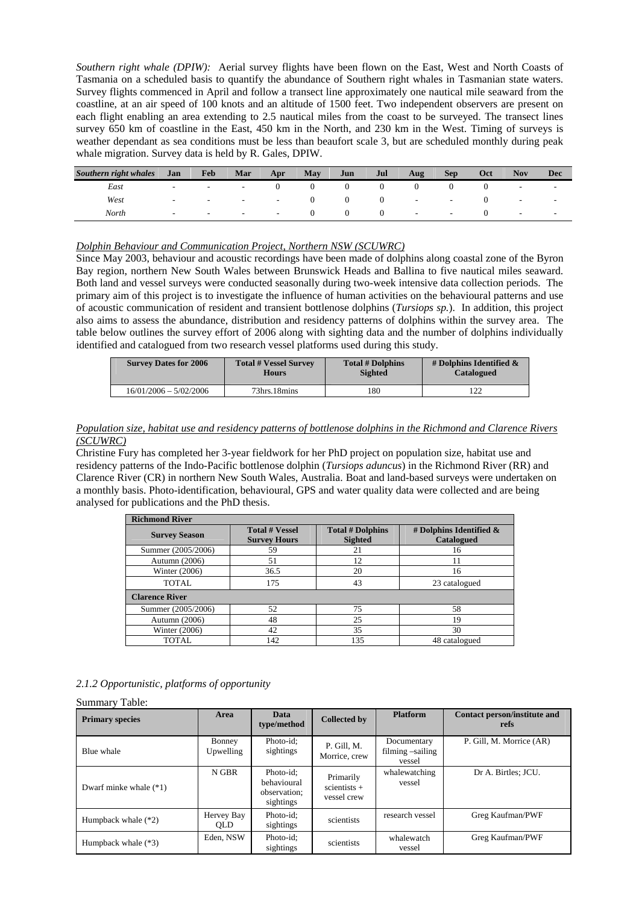*Southern right whale (DPIW):* Aerial survey flights have been flown on the East, West and North Coasts of Tasmania on a scheduled basis to quantify the abundance of Southern right whales in Tasmanian state waters. Survey flights commenced in April and follow a transect line approximately one nautical mile seaward from the coastline, at an air speed of 100 knots and an altitude of 1500 feet. Two independent observers are present on each flight enabling an area extending to 2.5 nautical miles from the coast to be surveyed. The transect lines survey 650 km of coastline in the East, 450 km in the North, and 230 km in the West. Timing of surveys is weather dependant as sea conditions must be less than beaufort scale 3, but are scheduled monthly during peak whale migration. Survey data is held by R. Gales, DPIW.

| Southern right whales | Jan                      | Feb    | Mar                      | Apr    | <b>May</b> | Jun | Jul | Aug    | <b>Sep</b>     | Oct | <b>Nov</b>               | Dec                      |
|-----------------------|--------------------------|--------|--------------------------|--------|------------|-----|-----|--------|----------------|-----|--------------------------|--------------------------|
| East                  | н.                       | $\sim$ | $\overline{\phantom{a}}$ |        |            |     |     |        |                |     | $\overline{\phantom{0}}$ | $\overline{\phantom{a}}$ |
| West                  | $\sim$                   | $\sim$ | $\sim$                   | $\sim$ |            | 0   |     | $\sim$ | $\sim$         |     | $\sim$                   | $\sim$                   |
| North                 | $\overline{\phantom{0}}$ | $\sim$ | $\sim$                   | $\sim$ |            |     |     | $\sim$ | $\sim$ $ \sim$ |     | $\sim$                   | $\sim$                   |

#### *Dolphin Behaviour and Communication Project, Northern NSW (SCUWRC)*

Since May 2003, behaviour and acoustic recordings have been made of dolphins along coastal zone of the Byron Bay region, northern New South Wales between Brunswick Heads and Ballina to five nautical miles seaward. Both land and vessel surveys were conducted seasonally during two-week intensive data collection periods. The primary aim of this project is to investigate the influence of human activities on the behavioural patterns and use of acoustic communication of resident and transient bottlenose dolphins (*Tursiops sp.*). In addition, this project also aims to assess the abundance, distribution and residency patterns of dolphins within the survey area. The table below outlines the survey effort of 2006 along with sighting data and the number of dolphins individually identified and catalogued from two research vessel platforms used during this study.

| <b>Survey Dates for 2006</b> | <b>Total # Vessel Survey</b> | <b>Total # Dolphins</b> | # Dolphins Identified $\&$ |
|------------------------------|------------------------------|-------------------------|----------------------------|
|                              | <b>Hours</b>                 | <b>Sighted</b>          | <b>Catalogued</b>          |
| $16/01/2006 - 5/02/2006$     | 73hrs.18mins                 | 180                     |                            |

#### *Population size, habitat use and residency patterns of bottlenose dolphins in the Richmond and Clarence Rivers (SCUWRC)*

Christine Fury has completed her 3-year fieldwork for her PhD project on population size, habitat use and residency patterns of the Indo-Pacific bottlenose dolphin (*Tursiops aduncus*) in the Richmond River (RR) and Clarence River (CR) in northern New South Wales, Australia. Boat and land-based surveys were undertaken on a monthly basis. Photo-identification, behavioural, GPS and water quality data were collected and are being analysed for publications and the PhD thesis.

| <b>Richmond River</b> |                                              |                                           |                                          |  |
|-----------------------|----------------------------------------------|-------------------------------------------|------------------------------------------|--|
| <b>Survey Season</b>  | <b>Total # Vessel</b><br><b>Survey Hours</b> | <b>Total # Dolphins</b><br><b>Sighted</b> | # Dolphins Identified $\&$<br>Catalogued |  |
| Summer (2005/2006)    | 59                                           | 21                                        | 16                                       |  |
| Autumn (2006)         | 51                                           | 12                                        | 11                                       |  |
| Winter (2006)         | 36.5                                         | 20                                        | 16                                       |  |
| <b>TOTAL</b>          | 175                                          | 43                                        | 23 catalogued                            |  |
| <b>Clarence River</b> |                                              |                                           |                                          |  |
| Summer (2005/2006)    | 52                                           | 75                                        | 58                                       |  |
| Autumn (2006)         | 48                                           | 25                                        | 19                                       |  |
| Winter $(2006)$       | 42                                           | 35                                        | 30                                       |  |
| <b>TOTAL</b>          | 142                                          | 135                                       | 48 catalogued                            |  |

#### *2.1.2 Opportunistic, platforms of opportunity*

Summary Table:

| <b>Primary species</b>   | Area                     | Data<br>type/method                                   | <b>Collected by</b>                        | <b>Platform</b>                           | Contact person/institute and<br>refs |
|--------------------------|--------------------------|-------------------------------------------------------|--------------------------------------------|-------------------------------------------|--------------------------------------|
| Blue whale               | Bonney<br>Upwelling      | Photo-id:<br>sightings                                | P. Gill, M.<br>Morrice, crew               | Documentary<br>filming -sailing<br>vessel | P. Gill, M. Morrice (AR)             |
| Dwarf minke whale $(*1)$ | N GBR                    | Photo-id:<br>behavioural<br>observation:<br>sightings | Primarily<br>$scientists +$<br>vessel crew | whalewatching<br>vessel                   | Dr A. Birtles; JCU.                  |
| Humpback whale $(*2)$    | Hervey Bay<br><b>OLD</b> | Photo-id;<br>sightings                                | scientists                                 | research vessel                           | Greg Kaufman/PWF                     |
| Humpback whale (*3)      | Eden, NSW                | Photo-id:<br>sightings                                | scientists                                 | whalewatch<br>vessel                      | Greg Kaufman/PWF                     |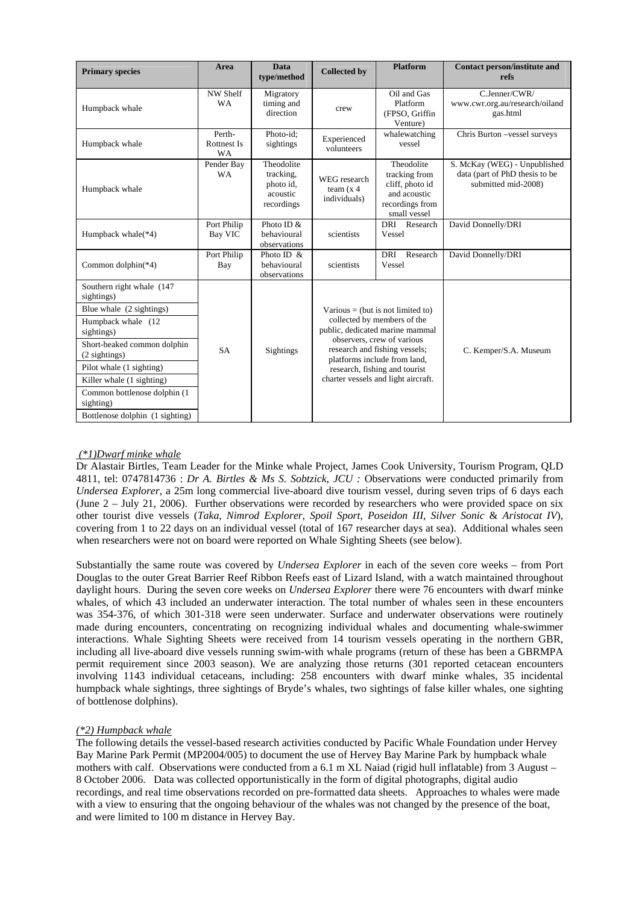| <b>Primary species</b>                                                                                                                                                                                                                                                                            | Area                                      | <b>Data</b><br>type/method                                     | <b>Collected by</b>                                                                                                                                                                                                                                                        | <b>Platform</b>                                                                                   | <b>Contact person/institute and</b><br>refs                                           |
|---------------------------------------------------------------------------------------------------------------------------------------------------------------------------------------------------------------------------------------------------------------------------------------------------|-------------------------------------------|----------------------------------------------------------------|----------------------------------------------------------------------------------------------------------------------------------------------------------------------------------------------------------------------------------------------------------------------------|---------------------------------------------------------------------------------------------------|---------------------------------------------------------------------------------------|
| Humpback whale                                                                                                                                                                                                                                                                                    | NW Shelf<br><b>WA</b>                     | Migratory<br>timing and<br>direction                           | crew                                                                                                                                                                                                                                                                       | Oil and Gas<br>Platform<br>(FPSO, Griffin<br>Venture)                                             | C.Jenner/CWR/<br>www.cwr.org.au/research/oiland<br>gas.html                           |
| Humpback whale                                                                                                                                                                                                                                                                                    | Perth-<br><b>Rottnest Is</b><br><b>WA</b> | Photo-id;<br>sightings                                         | Experienced<br>volunteers                                                                                                                                                                                                                                                  | whalewatching<br>vessel                                                                           | Chris Burton -vessel surveys                                                          |
| Humpback whale                                                                                                                                                                                                                                                                                    | Pender Bay<br><b>WA</b>                   | Theodolite<br>tracking,<br>photo id,<br>acoustic<br>recordings | WEG research<br>team $(x 4)$<br>individuals)                                                                                                                                                                                                                               | Theodolite<br>tracking from<br>cliff, photo id<br>and acoustic<br>recordings from<br>small vessel | S. McKay (WEG) - Unpublished<br>data (part of PhD thesis to be<br>submitted mid-2008) |
| Humpback whale(*4)                                                                                                                                                                                                                                                                                | Port Philip<br>Bay VIC                    | Photo ID &<br>behavioural<br>observations                      | scientists                                                                                                                                                                                                                                                                 | DRI Research<br>Vessel                                                                            | David Donnelly/DRI                                                                    |
| Common dolphin(*4)                                                                                                                                                                                                                                                                                | Port Philip<br>Bay                        | Photo ID $\&$<br>behavioural<br>observations                   | scientists                                                                                                                                                                                                                                                                 | <b>DRI</b><br>Research<br>Vessel                                                                  | David Donnelly/DRI                                                                    |
| Southern right whale (147<br>sightings)<br>Blue whale (2 sightings)<br>Humpback whale (12)<br>sightings)<br>Short-beaked common dolphin<br>(2 sightings)<br>Pilot whale (1 sighting)<br>Killer whale (1 sighting)<br>Common bottlenose dolphin (1<br>sighting)<br>Bottlenose dolphin (1 sighting) | <b>SA</b>                                 | Sightings                                                      | Various = (but is not limited to)<br>collected by members of the<br>public, dedicated marine mammal<br>observers, crew of various<br>research and fishing vessels;<br>platforms include from land,<br>research, fishing and tourist<br>charter vessels and light aircraft. |                                                                                                   | C. Kemper/S.A. Museum                                                                 |

# *(\*1)Dwarf minke whale*

Dr Alastair Birtles, Team Leader for the Minke whale Project, James Cook University, Tourism Program, QLD 4811, tel: 0747814736 : *Dr A. Birtles & Ms S. Sobtzick, JCU :* Observations were conducted primarily from *Undersea Explorer*, a 25m long commercial live-aboard dive tourism vessel, during seven trips of 6 days each (June 2 – July 21, 2006). Further observations were recorded by researchers who were provided space on six other tourist dive vessels (*Taka*, *Nimrod Explorer*, *Spoil Sport*, *Poseidon III*, *Silver Sonic* & *Aristocat IV*), covering from 1 to 22 days on an individual vessel (total of 167 researcher days at sea). Additional whales seen when researchers were not on board were reported on Whale Sighting Sheets (see below).

Substantially the same route was covered by *Undersea Explorer* in each of the seven core weeks – from Port Douglas to the outer Great Barrier Reef Ribbon Reefs east of Lizard Island, with a watch maintained throughout daylight hours. During the seven core weeks on *Undersea Explorer* there were 76 encounters with dwarf minke whales, of which 43 included an underwater interaction. The total number of whales seen in these encounters was 354-376, of which 301-318 were seen underwater. Surface and underwater observations were routinely made during encounters, concentrating on recognizing individual whales and documenting whale-swimmer interactions. Whale Sighting Sheets were received from 14 tourism vessels operating in the northern GBR, including all live-aboard dive vessels running swim-with whale programs (return of these has been a GBRMPA permit requirement since 2003 season). We are analyzing those returns (301 reported cetacean encounters involving 1143 individual cetaceans, including: 258 encounters with dwarf minke whales, 35 incidental humpback whale sightings, three sightings of Bryde's whales, two sightings of false killer whales, one sighting of bottlenose dolphins).

# *(\*2) Humpback whale*

The following details the vessel-based research activities conducted by Pacific Whale Foundation under Hervey Bay Marine Park Permit (MP2004/005) to document the use of Hervey Bay Marine Park by humpback whale mothers with calf. Observations were conducted from a 6.1 m XL Naiad (rigid hull inflatable) from 3 August – 8 October 2006. Data was collected opportunistically in the form of digital photographs, digital audio recordings, and real time observations recorded on pre-formatted data sheets. Approaches to whales were made with a view to ensuring that the ongoing behaviour of the whales was not changed by the presence of the boat, and were limited to 100 m distance in Hervey Bay.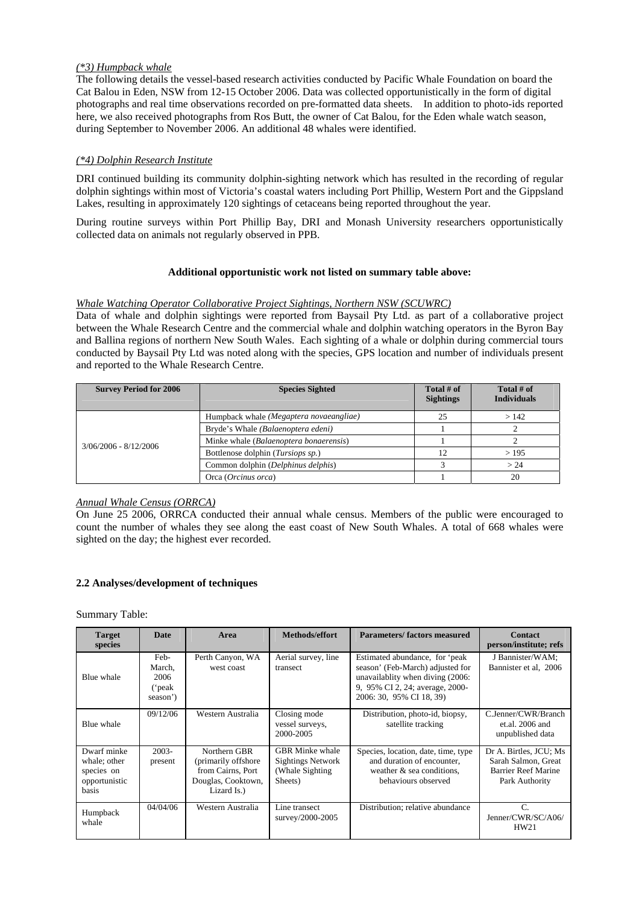# *(\*3) Humpback whale*

The following details the vessel-based research activities conducted by Pacific Whale Foundation on board the Cat Balou in Eden, NSW from 12-15 October 2006. Data was collected opportunistically in the form of digital photographs and real time observations recorded on pre-formatted data sheets. In addition to photo-ids reported here, we also received photographs from Ros Butt, the owner of Cat Balou, for the Eden whale watch season, during September to November 2006. An additional 48 whales were identified.

# *(\*4) Dolphin Research Institute*

DRI continued building its community dolphin-sighting network which has resulted in the recording of regular dolphin sightings within most of Victoria's coastal waters including Port Phillip, Western Port and the Gippsland Lakes, resulting in approximately 120 sightings of cetaceans being reported throughout the year.

During routine surveys within Port Phillip Bay, DRI and Monash University researchers opportunistically collected data on animals not regularly observed in PPB.

# **Additional opportunistic work not listed on summary table above:**

# *Whale Watching Operator Collaborative Project Sightings, Northern NSW (SCUWRC)*

Data of whale and dolphin sightings were reported from Baysail Pty Ltd. as part of a collaborative project between the Whale Research Centre and the commercial whale and dolphin watching operators in the Byron Bay and Ballina regions of northern New South Wales. Each sighting of a whale or dolphin during commercial tours conducted by Baysail Pty Ltd was noted along with the species, GPS location and number of individuals present and reported to the Whale Research Centre.

| <b>Survey Period for 2006</b> | <b>Species Sighted</b>                  | Total $#$ of<br><b>Sightings</b> | Total $#$ of<br><b>Individuals</b> |
|-------------------------------|-----------------------------------------|----------------------------------|------------------------------------|
|                               | Humpback whale (Megaptera novaeangliae) | 25                               | >142                               |
|                               | Bryde's Whale (Balaenoptera edeni)      |                                  |                                    |
| $3/06/2006 - 8/12/2006$       | Minke whale (Balaenoptera bonaerensis)  |                                  |                                    |
|                               | Bottlenose dolphin (Tursiops sp.)       | 12                               | >195                               |
|                               | Common dolphin (Delphinus delphis)      |                                  | > 24                               |
|                               | Orca (Orcinus orca)                     |                                  | 20                                 |

# *Annual Whale Census (ORRCA)*

On June 25 2006, ORRCA conducted their annual whale census. Members of the public were encouraged to count the number of whales they see along the east coast of New South Whales. A total of 668 whales were sighted on the day; the highest ever recorded.

# **2.2 Analyses/development of techniques**

#### Summary Table:

| <b>Target</b><br>species                                            | <b>Date</b>                                  | Area                                                                                           | <b>Methods/effort</b>                                                             | Parameters/factors measured                                                                                                                                           | <b>Contact</b><br>person/institute; refs                                                      |
|---------------------------------------------------------------------|----------------------------------------------|------------------------------------------------------------------------------------------------|-----------------------------------------------------------------------------------|-----------------------------------------------------------------------------------------------------------------------------------------------------------------------|-----------------------------------------------------------------------------------------------|
| Blue whale                                                          | Feb-<br>March,<br>2006<br>('peak<br>season') | Perth Canyon, WA<br>west coast                                                                 | Aerial survey, line<br>transect                                                   | Estimated abundance, for 'peak<br>season' (Feb-March) adjusted for<br>unavailablity when diving (2006:<br>9, 95% CI 2, 24; average, 2000-<br>2006: 30, 95% CI 18, 39) | J Bannister/WAM;<br>Bannister et al, 2006                                                     |
| Blue whale                                                          | 09/12/06                                     | Western Australia                                                                              | Closing mode<br>vessel surveys,<br>2000-2005                                      | Distribution, photo-id, biopsy,<br>satellite tracking                                                                                                                 | C.Jenner/CWR/Branch<br>$et$ al. 2006 and<br>unpublished data                                  |
| Dwarf minke<br>whale; other<br>species on<br>opportunistic<br>basis | $2003 -$<br>present                          | Northern GBR<br>(primarily offshore)<br>from Cairns, Port<br>Douglas, Cooktown,<br>Lizard Is.) | <b>GBR</b> Minke whale<br><b>Sightings Network</b><br>(Whale Sighting)<br>Sheets) | Species, location, date, time, type<br>and duration of encounter.<br>weather $\&$ sea conditions,<br>behaviours observed                                              | Dr A. Birtles, JCU; Ms<br>Sarah Salmon, Great<br><b>Barrier Reef Marine</b><br>Park Authority |
| Humpback<br>whale                                                   | 04/04/06                                     | Western Australia                                                                              | Line transect<br>survey/2000-2005                                                 | Distribution; relative abundance                                                                                                                                      | $\mathcal{C}$ .<br>Jenner/CWR/SC/A06/<br>HW21                                                 |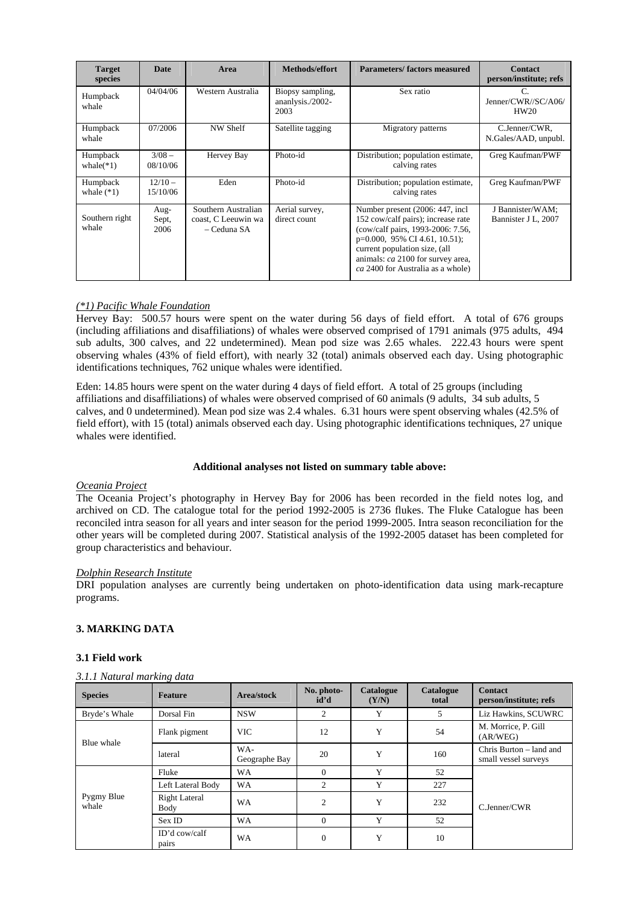| <b>Target</b><br>species | <b>Date</b>           | Area                                                      | Methods/effort                               | Parameters/factors measured                                                                                                                                                                                                                                | <b>Contact</b><br>person/institute; refs     |
|--------------------------|-----------------------|-----------------------------------------------------------|----------------------------------------------|------------------------------------------------------------------------------------------------------------------------------------------------------------------------------------------------------------------------------------------------------------|----------------------------------------------|
| Humpback<br>whale        | 04/04/06              | Western Australia                                         | Biopsy sampling,<br>ananlysis./2002-<br>2003 | Sex ratio                                                                                                                                                                                                                                                  | $\mathcal{C}$<br>Jenner/CWR//SC/A06/<br>HW20 |
| Humpback<br>whale        | 07/2006               | NW Shelf                                                  | Satellite tagging                            | Migratory patterns                                                                                                                                                                                                                                         | C.Jenner/CWR.<br>N.Gales/AAD, unpubl.        |
| Humpback<br>whale $(*1)$ | $3/08 -$<br>08/10/06  | Hervey Bay                                                | Photo-id                                     | Distribution; population estimate,<br>calving rates                                                                                                                                                                                                        | Greg Kaufman/PWF                             |
| Humpback<br>whale $(*1)$ | $12/10 -$<br>15/10/06 | Eden                                                      | Photo-id                                     | Distribution; population estimate,<br>calving rates                                                                                                                                                                                                        | Greg Kaufman/PWF                             |
| Southern right<br>whale  | Aug-<br>Sept,<br>2006 | Southern Australian<br>coast, C Leeuwin wa<br>– Ceduna SA | Aerial survey,<br>direct count               | Number present (2006: 447, incl.<br>152 cow/calf pairs); increase rate<br>(cow/calf pairs, 1993-2006: 7.56,<br>$p=0.000$ , 95% CI 4.61, 10.51);<br>current population size, (all<br>animals: ca 2100 for survey area,<br>ca 2400 for Australia as a whole) | J Bannister/WAM;<br>Bannister J L, 2007      |

# *(\*1) Pacific Whale Foundation*

Hervey Bay: 500.57 hours were spent on the water during 56 days of field effort. A total of 676 groups (including affiliations and disaffiliations) of whales were observed comprised of 1791 animals (975 adults, 494 sub adults, 300 calves, and 22 undetermined). Mean pod size was 2.65 whales. 222.43 hours were spent observing whales (43% of field effort), with nearly 32 (total) animals observed each day. Using photographic identifications techniques, 762 unique whales were identified.

Eden: 14.85 hours were spent on the water during 4 days of field effort. A total of 25 groups (including affiliations and disaffiliations) of whales were observed comprised of 60 animals (9 adults, 34 sub adults, 5 calves, and 0 undetermined). Mean pod size was 2.4 whales. 6.31 hours were spent observing whales (42.5% of field effort), with 15 (total) animals observed each day. Using photographic identifications techniques, 27 unique whales were identified.

# **Additional analyses not listed on summary table above:**

#### *Oceania Project*

The Oceania Project's photography in Hervey Bay for 2006 has been recorded in the field notes log, and archived on CD. The catalogue total for the period 1992-2005 is 2736 flukes. The Fluke Catalogue has been reconciled intra season for all years and inter season for the period 1999-2005. Intra season reconciliation for the other years will be completed during 2007. Statistical analysis of the 1992-2005 dataset has been completed for group characteristics and behaviour.

#### *Dolphin Research Institute*

DRI population analyses are currently being undertaken on photo-identification data using mark-recapture programs.

# **3. MARKING DATA**

# **3.1 Field work**

#### *3.1.1 Natural marking data*

| <b>Species</b>      | <b>Feature</b>         | Area/stock           | No. photo-<br>id'd | Catalogue<br>(Y/N) | Catalogue<br>total | <b>Contact</b><br>person/institute; refs        |
|---------------------|------------------------|----------------------|--------------------|--------------------|--------------------|-------------------------------------------------|
| Bryde's Whale       | Dorsal Fin             | <b>NSW</b>           | 2                  | Y                  | 5                  | Liz Hawkins, SCUWRC                             |
| Blue whale          | Flank pigment          | <b>VIC</b>           | 12                 | Y                  | 54                 | M. Morrice, P. Gill<br>(AR/WEG)                 |
|                     | lateral                | WA-<br>Geographe Bay | 20                 | Y                  | 160                | Chris Burton – land and<br>small vessel surveys |
|                     | Fluke                  | WA                   | $\Omega$           | Y                  | 52                 |                                                 |
|                     | Left Lateral Body      | <b>WA</b>            | 2                  | Y                  | 227                |                                                 |
| Pygmy Blue<br>whale | Right Lateral<br>Body  | <b>WA</b>            | 2                  | Y                  | 232                | C.Jenner/CWR                                    |
|                     | Sex ID                 | <b>WA</b>            | $\Omega$           | Y                  | 52                 |                                                 |
|                     | ID'd cow/calf<br>pairs | WA                   | $\Omega$           | Y                  | 10                 |                                                 |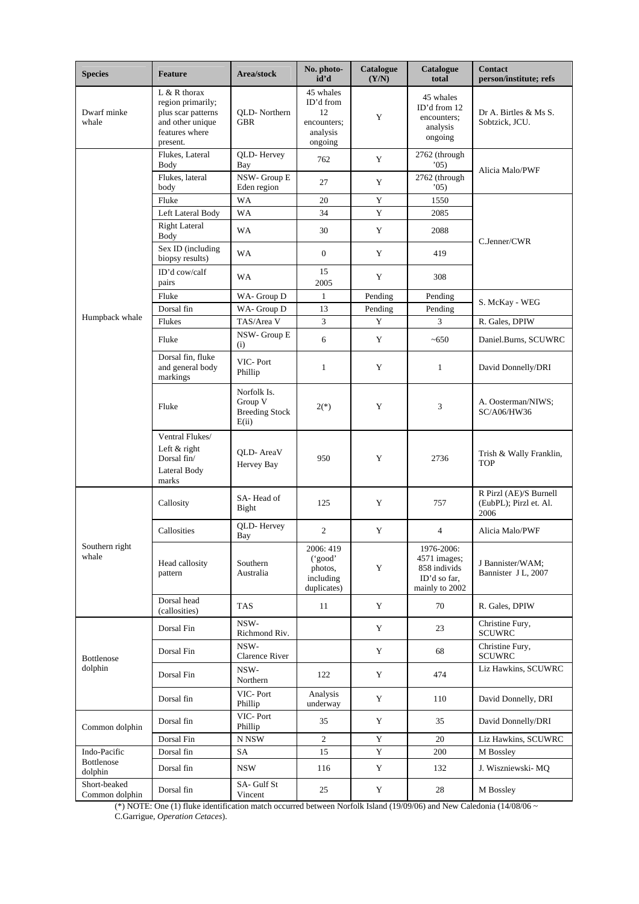| <b>Species</b>                 | <b>Feature</b>                                                                                              | Area/stock                                               | No. photo-<br>id'd                                                 | Catalogue<br>(Y/N) | Catalogue<br>total                                                           | <b>Contact</b><br>person/institute; refs                 |
|--------------------------------|-------------------------------------------------------------------------------------------------------------|----------------------------------------------------------|--------------------------------------------------------------------|--------------------|------------------------------------------------------------------------------|----------------------------------------------------------|
| Dwarf minke<br>whale           | $L & R$ thorax<br>region primarily;<br>plus scar patterns<br>and other unique<br>features where<br>present. | OLD-Northern<br><b>GBR</b>                               | 45 whales<br>ID'd from<br>12<br>encounters;<br>analysis<br>ongoing | Y                  | 45 whales<br>ID'd from 12<br>encounters;<br>analysis<br>ongoing              | Dr A. Birtles & Ms S.<br>Sobtzick, JCU.                  |
|                                | Flukes, Lateral<br>Body                                                                                     | QLD-Hervey<br>Bay                                        | 762                                                                | Y                  | 2762 (through<br>(05)                                                        | Alicia Malo/PWF                                          |
|                                | Flukes, lateral<br>body                                                                                     | NSW-Group E<br>Eden region                               | 27                                                                 | Y                  | 2762 (through<br>05)                                                         |                                                          |
|                                | Fluke                                                                                                       | WA                                                       | 20                                                                 | Y                  | 1550                                                                         |                                                          |
|                                | Left Lateral Body                                                                                           | <b>WA</b>                                                | 34                                                                 | Y                  | 2085                                                                         |                                                          |
|                                | <b>Right Lateral</b><br>Body                                                                                | <b>WA</b>                                                | 30                                                                 | Y                  | 2088                                                                         | C.Jenner/CWR                                             |
|                                | Sex ID (including<br>biopsy results)                                                                        | WA                                                       | $\mathbf{0}$                                                       | Y                  | 419                                                                          |                                                          |
|                                | ID'd cow/calf<br>pairs                                                                                      | WA                                                       | 15<br>2005                                                         | Y                  | 308                                                                          |                                                          |
|                                | Fluke                                                                                                       | WA- Group D                                              | $\mathbf{1}$                                                       | Pending            | Pending                                                                      | S. McKay - WEG                                           |
| Humpback whale                 | Dorsal fin                                                                                                  | WA- Group D                                              | 13                                                                 | Pending            | Pending                                                                      |                                                          |
|                                | Flukes                                                                                                      | TAS/Area V                                               | 3                                                                  | Y                  | 3                                                                            | R. Gales, DPIW                                           |
|                                | Fluke                                                                                                       | NSW-Group E<br>(i)                                       | 6                                                                  | Y                  | ~100                                                                         | Daniel.Burns, SCUWRC                                     |
|                                | Dorsal fin, fluke<br>and general body<br>markings                                                           | VIC-Port<br>Phillip                                      | $\mathbf{1}$                                                       | Y                  | $\mathbf{1}$                                                                 | David Donnelly/DRI                                       |
|                                | Fluke                                                                                                       | Norfolk Is.<br>Group V<br><b>Breeding Stock</b><br>E(ii) | $2(*)$                                                             | Y                  | 3                                                                            | A. Oosterman/NIWS;<br>SC/A06/HW36                        |
|                                | Ventral Flukes/<br>Left & right<br>Dorsal fin/<br>Lateral Body<br>marks                                     | OLD-AreaV<br>Hervey Bay                                  | 950                                                                | Y                  | 2736                                                                         | Trish & Wally Franklin,<br><b>TOP</b>                    |
|                                | Callosity                                                                                                   | SA-Head of<br>Bight                                      | 125                                                                | Y                  | 757                                                                          | R Pirzl (AE)/S Burnell<br>(EubPL); Pirzl et. Al.<br>2006 |
|                                | Callosities                                                                                                 | QLD-Hervey<br>Bay                                        | $\overline{c}$                                                     | Y                  | $\overline{4}$                                                               | Alicia Malo/PWF                                          |
| Southern right<br>whale        | Head callosity<br>pattern                                                                                   | Southern<br>Australia                                    | 2006: 419<br>('good'<br>photos,<br>including<br>duplicates)        | Y                  | 1976-2006:<br>4571 images;<br>858 individs<br>ID'd so far.<br>mainly to 2002 | J Bannister/WAM;<br>Bannister J L, 2007                  |
|                                | Dorsal head<br>(callosities)                                                                                | <b>TAS</b>                                               | 11                                                                 | Y                  | 70                                                                           | R. Gales, DPIW                                           |
|                                | Dorsal Fin                                                                                                  | NSW-<br>Richmond Riv.                                    |                                                                    | Y                  | 23                                                                           | Christine Fury,<br><b>SCUWRC</b>                         |
| Bottlenose                     | Dorsal Fin                                                                                                  | NSW-<br>Clarence River                                   |                                                                    | $\mathbf Y$        | 68                                                                           | Christine Fury,<br><b>SCUWRC</b>                         |
| dolphin                        | Dorsal Fin                                                                                                  | NSW-<br>Northern                                         | 122                                                                | Y                  | 474                                                                          | Liz Hawkins, SCUWRC                                      |
|                                | Dorsal fin                                                                                                  | VIC-Port<br>Phillip                                      | Analysis<br>underway                                               | Y                  | 110                                                                          | David Donnelly, DRI                                      |
| Common dolphin                 | Dorsal fin                                                                                                  | VIC-Port<br>Phillip                                      | 35                                                                 | Y                  | 35                                                                           | David Donnelly/DRI                                       |
|                                | Dorsal Fin                                                                                                  | $\ensuremath{\mathbf{N}}$ NSW                            | $\overline{c}$                                                     | $\mathbf Y$        | 20                                                                           | Liz Hawkins, SCUWRC                                      |
| Indo-Pacific                   | Dorsal fin                                                                                                  | SA                                                       | 15                                                                 | $\mathbf Y$        | 200                                                                          | M Bossley                                                |
| Bottlenose<br>dolphin          | Dorsal fin                                                                                                  | <b>NSW</b>                                               | 116                                                                | Y                  | 132                                                                          | J. Wiszniewski- MQ                                       |
| Short-beaked<br>Common dolphin | Dorsal fin                                                                                                  | SA- Gulf St<br>Vincent                                   | 25                                                                 | Y                  | 28                                                                           | M Bossley                                                |

(\*) NOTE: One (1) fluke identification match occurred between Norfolk Island (19/09/06) and New Caledonia (14/08/06  $\sim$ 

C.Garrigue, *Operation Cetaces*).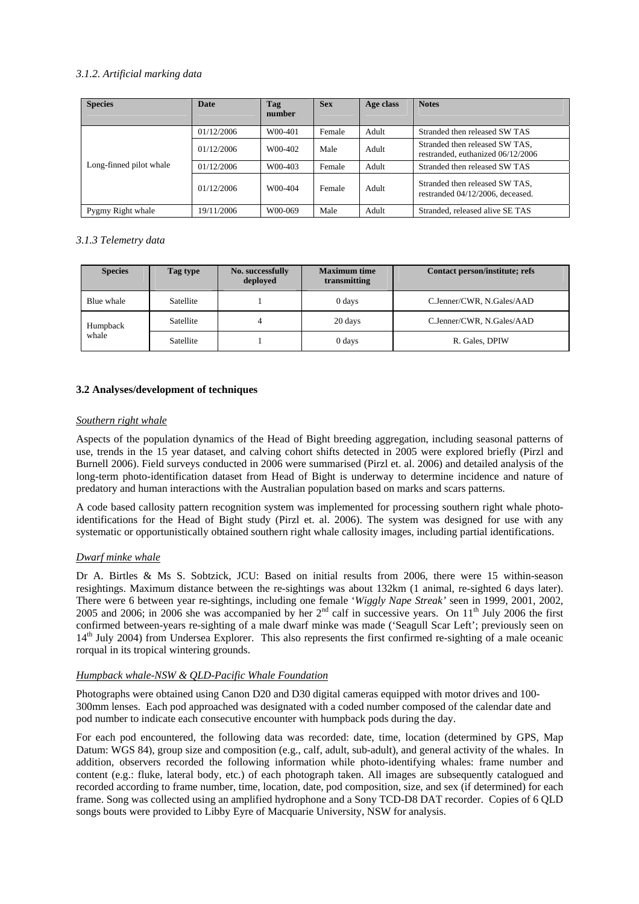# *3.1.2. Artificial marking data*

| <b>Species</b>          | <b>Date</b> | Tag<br>number | <b>Sex</b> | Age class | <b>Notes</b>                                                        |
|-------------------------|-------------|---------------|------------|-----------|---------------------------------------------------------------------|
|                         | 01/12/2006  | W00-401       | Female     | Adult     | Stranded then released SW TAS                                       |
|                         | 01/12/2006  | W00-402       | Male       | Adult     | Stranded then released SW TAS,<br>restranded, euthanized 06/12/2006 |
| Long-finned pilot whale | 01/12/2006  | W00-403       | Female     | Adult     | Stranded then released SW TAS                                       |
|                         | 01/12/2006  | W00-404       | Female     | Adult     | Stranded then released SW TAS,<br>restranded 04/12/2006, deceased.  |
| Pygmy Right whale       | 19/11/2006  | W00-069       | Male       | Adult     | Stranded, released alive SE TAS                                     |

# *3.1.3 Telemetry data*

| <b>Species</b> | Tag type  | No. successfully<br>deploved | <b>Maximum time</b><br>transmitting | Contact person/institute; refs |
|----------------|-----------|------------------------------|-------------------------------------|--------------------------------|
| Blue whale     | Satellite |                              | 0 days                              | C.Jenner/CWR, N.Gales/AAD      |
| Humpback       | Satellite |                              | 20 days                             | C.Jenner/CWR, N.Gales/AAD      |
| whale          | Satellite |                              | 0 days                              | R. Gales, DPIW                 |

# **3.2 Analyses/development of techniques**

# *Southern right whale*

Aspects of the population dynamics of the Head of Bight breeding aggregation, including seasonal patterns of use, trends in the 15 year dataset, and calving cohort shifts detected in 2005 were explored briefly (Pirzl and Burnell 2006). Field surveys conducted in 2006 were summarised (Pirzl et. al. 2006) and detailed analysis of the long-term photo-identification dataset from Head of Bight is underway to determine incidence and nature of predatory and human interactions with the Australian population based on marks and scars patterns.

A code based callosity pattern recognition system was implemented for processing southern right whale photoidentifications for the Head of Bight study (Pirzl et. al. 2006). The system was designed for use with any systematic or opportunistically obtained southern right whale callosity images, including partial identifications.

# *Dwarf minke whale*

Dr A. Birtles & Ms S. Sobtzick, JCU: Based on initial results from 2006, there were 15 within-season resightings. Maximum distance between the re-sightings was about 132km (1 animal, re-sighted 6 days later). There were 6 between year re-sightings, including one female '*Wiggly Nape Streak'* seen in 1999, 2001, 2002, 2005 and 2006; in 2006 she was accompanied by her  $2<sup>nd</sup>$  calf in successive years. On  $11<sup>th</sup>$  July 2006 the first confirmed between-years re-sighting of a male dwarf minke was made ('Seagull Scar Left'; previously seen on 14th July 2004) from Undersea Explorer. This also represents the first confirmed re-sighting of a male oceanic rorqual in its tropical wintering grounds.

# *Humpback whale-NSW & QLD-Pacific Whale Foundation*

Photographs were obtained using Canon D20 and D30 digital cameras equipped with motor drives and 100- 300mm lenses. Each pod approached was designated with a coded number composed of the calendar date and pod number to indicate each consecutive encounter with humpback pods during the day.

For each pod encountered, the following data was recorded: date, time, location (determined by GPS, Map Datum: WGS 84), group size and composition (e.g., calf, adult, sub-adult), and general activity of the whales. In addition, observers recorded the following information while photo-identifying whales: frame number and content (e.g.: fluke, lateral body, etc.) of each photograph taken. All images are subsequently catalogued and recorded according to frame number, time, location, date, pod composition, size, and sex (if determined) for each frame. Song was collected using an amplified hydrophone and a Sony TCD-D8 DAT recorder. Copies of 6 QLD songs bouts were provided to Libby Eyre of Macquarie University, NSW for analysis.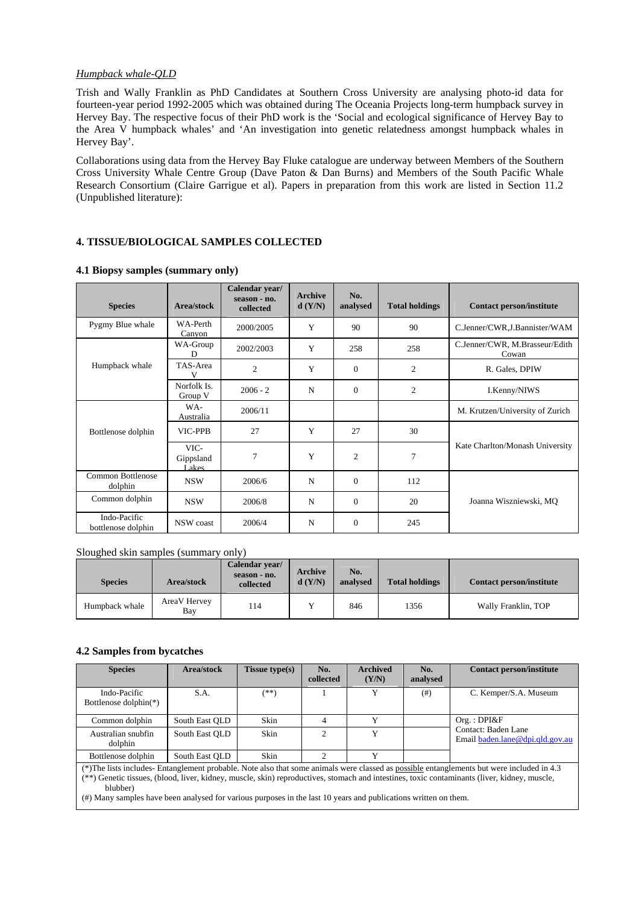#### *Humpback whale-QLD*

Trish and Wally Franklin as PhD Candidates at Southern Cross University are analysing photo-id data for fourteen-year period 1992-2005 which was obtained during The Oceania Projects long-term humpback survey in Hervey Bay. The respective focus of their PhD work is the 'Social and ecological significance of Hervey Bay to the Area V humpback whales' and 'An investigation into genetic relatedness amongst humpback whales in Hervey Bay'.

Collaborations using data from the Hervey Bay Fluke catalogue are underway between Members of the Southern Cross University Whale Centre Group (Dave Paton & Dan Burns) and Members of the South Pacific Whale Research Consortium (Claire Garrigue et al). Papers in preparation from this work are listed in Section 11.2 (Unpublished literature):

# **4. TISSUE/BIOLOGICAL SAMPLES COLLECTED**

| <b>Species</b>                     | Area/stock                 | Calendar year/<br>season - no.<br>collected | Archive<br>d(Y/N) | No.<br>analysed | <b>Total holdings</b> | <b>Contact person/institute</b>         |
|------------------------------------|----------------------------|---------------------------------------------|-------------------|-----------------|-----------------------|-----------------------------------------|
| Pygmy Blue whale                   | WA-Perth<br>Canyon         | 2000/2005                                   | Y                 | 90              | 90                    | C.Jenner/CWR, J.Bannister/WAM           |
|                                    | WA-Group<br>D              | 2002/2003                                   | Y                 | 258             | 258                   | C.Jenner/CWR, M.Brasseur/Edith<br>Cowan |
| Humpback whale                     | TAS-Area<br>v              | 2                                           | Y                 | $\overline{0}$  | $\mathfrak{2}$        | R. Gales, DPIW                          |
|                                    | Norfolk Is.<br>Group V     | $2006 - 2$                                  | N                 | $\overline{0}$  | $\overline{2}$        | I.Kenny/NIWS                            |
|                                    | WA-<br>Australia           | 2006/11                                     |                   |                 |                       | M. Krutzen/University of Zurich         |
| Bottlenose dolphin                 | VIC-PPB                    | 27                                          | Y                 | 27              | 30                    |                                         |
|                                    | VIC-<br>Gippsland<br>Lakes | $\overline{7}$                              | Y                 | $\overline{c}$  | 7                     | Kate Charlton/Monash University         |
| Common Bottlenose<br>dolphin       | <b>NSW</b>                 | 2006/6                                      | N                 | $\overline{0}$  | 112                   |                                         |
| Common dolphin                     | <b>NSW</b>                 | 2006/8                                      | N                 | $\overline{0}$  | 20                    | Joanna Wiszniewski, MQ                  |
| Indo-Pacific<br>bottlenose dolphin | NSW coast                  | 2006/4                                      | N                 | $\Omega$        | 245                   |                                         |

# **4.1 Biopsy samples (summary only)**

# Sloughed skin samples (summary only)

| <b>Species</b> | Area/stock          | Calendar year/<br>season - no.<br>collected | <b>Archive</b><br>d(Y/N) | No.<br>analysed | <b>Total holdings</b> | <b>Contact person/institute</b> |
|----------------|---------------------|---------------------------------------------|--------------------------|-----------------|-----------------------|---------------------------------|
| Humpback whale | AreaV Hervey<br>Bay | 114                                         |                          | 846             | 1356                  | Wally Franklin, TOP             |

# **4.2 Samples from bycatches**

| <b>Species</b>                                                                                                                                                                                                                                                                                                                                                                                                            | Area/stock     | <b>Tissue type(s)</b> | No.<br>collected | <b>Archived</b><br>(Y/N) | No.<br>analysed | <b>Contact person/institute</b>                        |  |  |  |
|---------------------------------------------------------------------------------------------------------------------------------------------------------------------------------------------------------------------------------------------------------------------------------------------------------------------------------------------------------------------------------------------------------------------------|----------------|-----------------------|------------------|--------------------------|-----------------|--------------------------------------------------------|--|--|--|
| Indo-Pacific<br>Bottlenose dolphin(*)                                                                                                                                                                                                                                                                                                                                                                                     | S.A.           | $(**)$                |                  | Y                        | (# )            | C. Kemper/S.A. Museum                                  |  |  |  |
| Common dolphin                                                                                                                                                                                                                                                                                                                                                                                                            | South East QLD | Skin                  | 4                | Y                        |                 | Org.:DPI&F                                             |  |  |  |
| Australian snubfin<br>dolphin                                                                                                                                                                                                                                                                                                                                                                                             | South East OLD | Skin                  | $\mathfrak{D}$   | Y                        |                 | Contact: Baden Lane<br>Email baden.lane@dpi.gld.gov.au |  |  |  |
| Bottlenose dolphin                                                                                                                                                                                                                                                                                                                                                                                                        | South East OLD | Skin                  | $\overline{c}$   | Y                        |                 |                                                        |  |  |  |
| (*) The lists includes- Entanglement probable. Note also that some animals were classed as possible entanglements but were included in 4.3<br>(**) Genetic tissues, (blood, liver, kidney, muscle, skin) reproductives, stomach and intestines, toxic contaminants (liver, kidney, muscle,<br>blubber)<br>(#) Many samples have been analysed for various purposes in the last 10 years and publications written on them. |                |                       |                  |                          |                 |                                                        |  |  |  |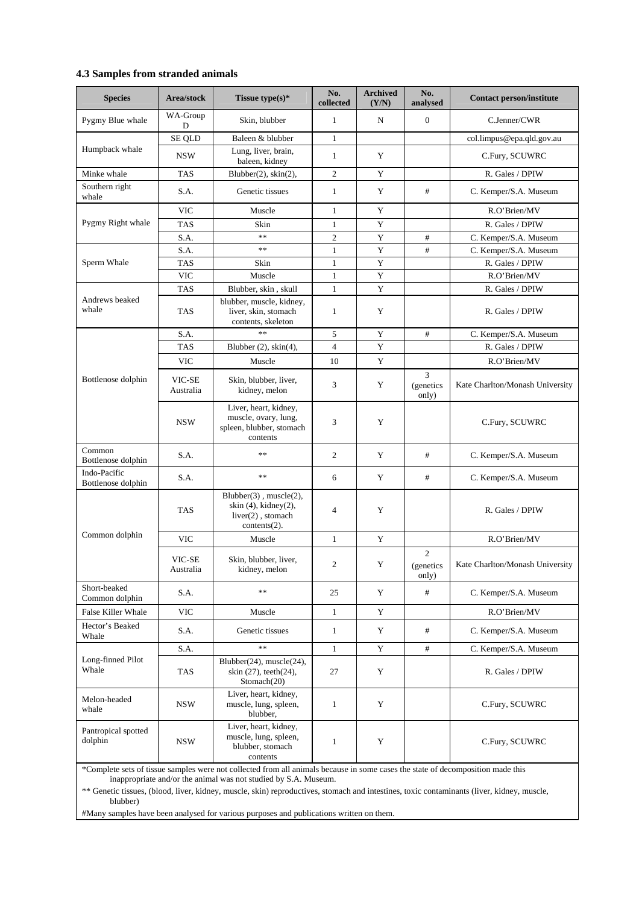# **4.3 Samples from stranded animals**

| <b>Species</b>                     | Area/stock          | Tissue type(s)*                                                                                       | No.<br>collected | <b>Archived</b><br>(Y/N) | No.<br>analysed                      | <b>Contact person/institute</b> |
|------------------------------------|---------------------|-------------------------------------------------------------------------------------------------------|------------------|--------------------------|--------------------------------------|---------------------------------|
| Pygmy Blue whale                   | WA-Group<br>D       | Skin, blubber                                                                                         | $\mathbf{1}$     | N                        | $\boldsymbol{0}$                     | C.Jenner/CWR                    |
|                                    | <b>SE QLD</b>       | Baleen & blubber                                                                                      | $\mathbf{1}$     |                          |                                      | col.limpus@epa.qld.gov.au       |
| Humpback whale                     | <b>NSW</b>          | Lung, liver, brain,<br>baleen, kidney                                                                 | $\mathbf{1}$     | Y                        |                                      | C.Fury, SCUWRC                  |
| Minke whale                        | <b>TAS</b>          | Blubber(2), skin(2),                                                                                  | $\overline{c}$   | Y                        |                                      | R. Gales / DPIW                 |
| Southern right<br>whale            | S.A.                | Genetic tissues                                                                                       | $\mathbf{1}$     | Y                        | $^{\#}$                              | C. Kemper/S.A. Museum           |
|                                    | <b>VIC</b>          | Muscle                                                                                                | $\mathbf{1}$     | Y                        |                                      | R.O'Brien/MV                    |
| Pygmy Right whale                  | <b>TAS</b>          | Skin                                                                                                  | $\mathbf{1}$     | Y                        |                                      | R. Gales / DPIW                 |
|                                    | S.A.                | $**$                                                                                                  | $\mathfrak{2}$   | Y                        | #                                    | C. Kemper/S.A. Museum           |
|                                    | S.A.                | $\ast$                                                                                                | $\mathbf{1}$     | Y                        | #                                    | C. Kemper/S.A. Museum           |
| Sperm Whale                        | <b>TAS</b>          | Skin                                                                                                  | $\mathbf{1}$     | Y                        |                                      | R. Gales / DPIW                 |
|                                    | <b>VIC</b>          | Muscle                                                                                                | $\mathbf{1}$     | Y                        |                                      | R.O'Brien/MV                    |
|                                    | <b>TAS</b>          | Blubber, skin, skull                                                                                  | $\mathbf{1}$     | Y                        |                                      | R. Gales / DPIW                 |
| Andrews beaked<br>whale            | <b>TAS</b>          | blubber, muscle, kidney,<br>liver, skin, stomach<br>contents, skeleton                                | $\mathbf{1}$     | Y                        |                                      | R. Gales / DPIW                 |
|                                    | S.A.                | $\ast\ast$                                                                                            | 5                | Y                        | #                                    | C. Kemper/S.A. Museum           |
|                                    | <b>TAS</b>          | Blubber (2), skin(4),                                                                                 | $\overline{4}$   | Y                        |                                      | R. Gales / DPIW                 |
|                                    | <b>VIC</b>          | Muscle                                                                                                | 10               | Y                        |                                      | R.O'Brien/MV                    |
| Bottlenose dolphin                 | VIC-SE<br>Australia | Skin, blubber, liver,<br>kidney, melon                                                                | 3                | Y                        | 3<br>(genetics<br>only)              | Kate Charlton/Monash University |
|                                    | <b>NSW</b>          | Liver, heart, kidney,<br>muscle, ovary, lung,<br>spleen, blubber, stomach<br>contents                 | 3                | Y                        |                                      | C.Fury, SCUWRC                  |
| Common<br>Bottlenose dolphin       | S.A.                | $**$                                                                                                  | $\overline{c}$   | Y                        | #                                    | C. Kemper/S.A. Museum           |
| Indo-Pacific<br>Bottlenose dolphin | S.A.                | $\ast$ $\ast$                                                                                         | 6                | Y                        | #                                    | C. Kemper/S.A. Museum           |
|                                    | <b>TAS</b>          | $Blubber(3)$ , muscle $(2)$ ,<br>skin $(4)$ , kidney $(2)$ ,<br>liver(2), stomach<br>contents $(2)$ . | 4                | Y                        |                                      | R. Gales / DPIW                 |
| Common dolphin                     | <b>VIC</b>          | Muscle                                                                                                | $\mathbf{1}$     | Y                        |                                      | R.O'Brien/MV                    |
|                                    | VIC-SE<br>Australia | Skin, blubber, liver,<br>kidney, melon                                                                | $\mathbf{2}$     | Y                        | $\overline{c}$<br>(genetics<br>only) | Kate Charlton/Monash University |
| Short-beaked<br>Common dolphin     | S.A.                | $\ast\ast$                                                                                            | 25               | Y                        | #                                    | C. Kemper/S.A. Museum           |
| False Killer Whale                 | <b>VIC</b>          | Muscle                                                                                                | $\mathbf{1}$     | Y                        |                                      | R.O'Brien/MV                    |
| Hector's Beaked<br>Whale           | S.A.                | Genetic tissues                                                                                       | $\mathbf{1}$     | Y                        | #                                    | C. Kemper/S.A. Museum           |
|                                    | S.A.                | $\ast$                                                                                                | $\mathbf{1}$     | Y                        | #                                    | C. Kemper/S.A. Museum           |
| Long-finned Pilot<br>Whale         | <b>TAS</b>          | Blubber(24), muscle(24),<br>skin (27), teeth(24),<br>Stomach(20)                                      | 27               | Y                        |                                      | R. Gales / DPIW                 |
| Melon-headed<br>whale              | NSW                 | Liver, heart, kidney,<br>muscle, lung, spleen,<br>blubber,                                            | $\mathbf{1}$     | Y                        |                                      | C.Fury, SCUWRC                  |
| Pantropical spotted<br>dolphin     | NSW                 | Liver, heart, kidney,<br>muscle, lung, spleen,<br>blubber, stomach<br>contents                        | $\mathbf{1}$     | Y                        |                                      | C.Fury, SCUWRC                  |

\*Complete sets of tissue samples were not collected from all animals because in some cases the state of decomposition made this inappropriate and/or the animal was not studied by S.A. Museum.

\*\* Genetic tissues, (blood, liver, kidney, muscle, skin) reproductives, stomach and intestines, toxic contaminants (liver, kidney, muscle, blubber)

#Many samples have been analysed for various purposes and publications written on them.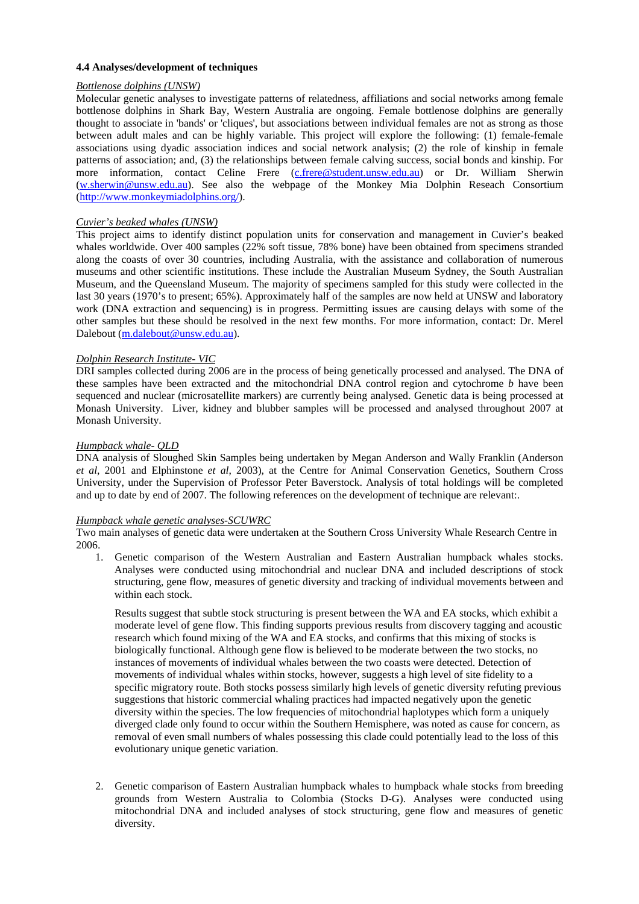# **4.4 Analyses/development of techniques**

# *Bottlenose dolphins (UNSW)*

Molecular genetic analyses to investigate patterns of relatedness, affiliations and social networks among female bottlenose dolphins in Shark Bay, Western Australia are ongoing. Female bottlenose dolphins are generally thought to associate in 'bands' or 'cliques', but associations between individual females are not as strong as those between adult males and can be highly variable. This project will explore the following: (1) female-female associations using dyadic association indices and social network analysis; (2) the role of kinship in female patterns of association; and, (3) the relationships between female calving success, social bonds and kinship. For more information, contact Celine Frere (c.frere@student.unsw.edu.au) or Dr. William Sherwin (w.sherwin@unsw.edu.au). See also the webpage of the Monkey Mia Dolphin Reseach Consortium (http://www.monkeymiadolphins.org/).

# *Cuvier's beaked whales (UNSW)*

This project aims to identify distinct population units for conservation and management in Cuvier's beaked whales worldwide. Over 400 samples (22% soft tissue, 78% bone) have been obtained from specimens stranded along the coasts of over 30 countries, including Australia, with the assistance and collaboration of numerous museums and other scientific institutions. These include the Australian Museum Sydney, the South Australian Museum, and the Queensland Museum. The majority of specimens sampled for this study were collected in the last 30 years (1970's to present; 65%). Approximately half of the samples are now held at UNSW and laboratory work (DNA extraction and sequencing) is in progress. Permitting issues are causing delays with some of the other samples but these should be resolved in the next few months. For more information, contact: Dr. Merel Dalebout (m.dalebout@unsw.edu.au).

# *Dolphin Research Institute- VIC*

DRI samples collected during 2006 are in the process of being genetically processed and analysed. The DNA of these samples have been extracted and the mitochondrial DNA control region and cytochrome *b* have been sequenced and nuclear (microsatellite markers) are currently being analysed. Genetic data is being processed at Monash University. Liver, kidney and blubber samples will be processed and analysed throughout 2007 at Monash University.

#### *Humpback whale- QLD*

DNA analysis of Sloughed Skin Samples being undertaken by Megan Anderson and Wally Franklin (Anderson *et al*, 2001 and Elphinstone *et al*, 2003), at the Centre for Animal Conservation Genetics, Southern Cross University, under the Supervision of Professor Peter Baverstock. Analysis of total holdings will be completed and up to date by end of 2007. The following references on the development of technique are relevant:.

#### *Humpback whale genetic analyses-SCUWRC*

Two main analyses of genetic data were undertaken at the Southern Cross University Whale Research Centre in 2006.

1. Genetic comparison of the Western Australian and Eastern Australian humpback whales stocks. Analyses were conducted using mitochondrial and nuclear DNA and included descriptions of stock structuring, gene flow, measures of genetic diversity and tracking of individual movements between and within each stock.

Results suggest that subtle stock structuring is present between the WA and EA stocks, which exhibit a moderate level of gene flow. This finding supports previous results from discovery tagging and acoustic research which found mixing of the WA and EA stocks, and confirms that this mixing of stocks is biologically functional. Although gene flow is believed to be moderate between the two stocks, no instances of movements of individual whales between the two coasts were detected. Detection of movements of individual whales within stocks, however, suggests a high level of site fidelity to a specific migratory route. Both stocks possess similarly high levels of genetic diversity refuting previous suggestions that historic commercial whaling practices had impacted negatively upon the genetic diversity within the species. The low frequencies of mitochondrial haplotypes which form a uniquely diverged clade only found to occur within the Southern Hemisphere, was noted as cause for concern, as removal of even small numbers of whales possessing this clade could potentially lead to the loss of this evolutionary unique genetic variation.

2. Genetic comparison of Eastern Australian humpback whales to humpback whale stocks from breeding grounds from Western Australia to Colombia (Stocks D-G). Analyses were conducted using mitochondrial DNA and included analyses of stock structuring, gene flow and measures of genetic diversity.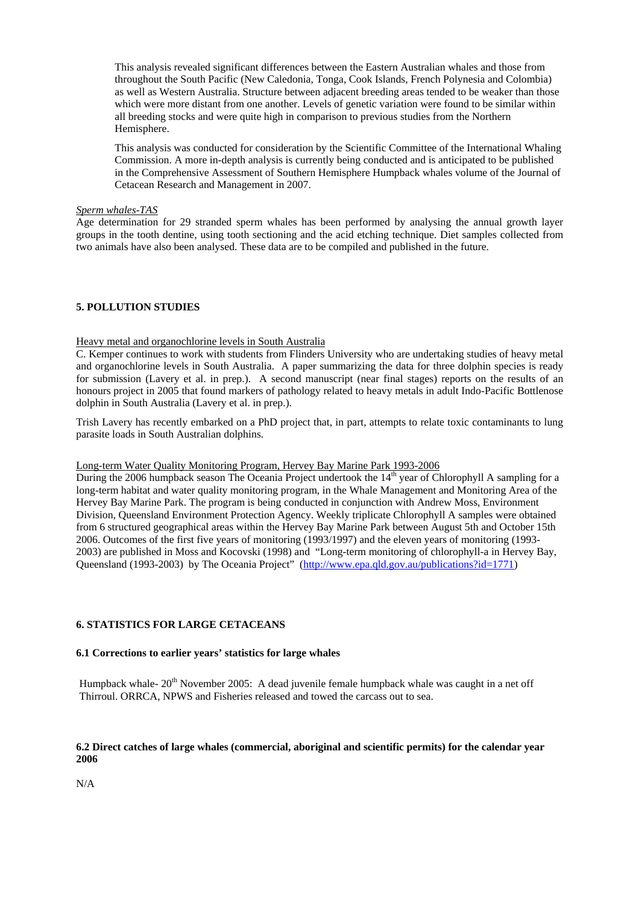This analysis revealed significant differences between the Eastern Australian whales and those from throughout the South Pacific (New Caledonia, Tonga, Cook Islands, French Polynesia and Colombia) as well as Western Australia. Structure between adjacent breeding areas tended to be weaker than those which were more distant from one another. Levels of genetic variation were found to be similar within all breeding stocks and were quite high in comparison to previous studies from the Northern Hemisphere.

This analysis was conducted for consideration by the Scientific Committee of the International Whaling Commission. A more in-depth analysis is currently being conducted and is anticipated to be published in the Comprehensive Assessment of Southern Hemisphere Humpback whales volume of the Journal of Cetacean Research and Management in 2007.

#### *Sperm whales-TAS*

Age determination for 29 stranded sperm whales has been performed by analysing the annual growth layer groups in the tooth dentine, using tooth sectioning and the acid etching technique. Diet samples collected from two animals have also been analysed. These data are to be compiled and published in the future.

# **5. POLLUTION STUDIES**

# Heavy metal and organochlorine levels in South Australia

C. Kemper continues to work with students from Flinders University who are undertaking studies of heavy metal and organochlorine levels in South Australia. A paper summarizing the data for three dolphin species is ready for submission (Lavery et al. in prep.). A second manuscript (near final stages) reports on the results of an honours project in 2005 that found markers of pathology related to heavy metals in adult Indo-Pacific Bottlenose dolphin in South Australia (Lavery et al. in prep.).

Trish Lavery has recently embarked on a PhD project that, in part, attempts to relate toxic contaminants to lung parasite loads in South Australian dolphins.

# Long-term Water Quality Monitoring Program, Hervey Bay Marine Park 1993-2006

During the 2006 humpback season The Oceania Project undertook the  $14<sup>th</sup>$  year of Chlorophyll A sampling for a long-term habitat and water quality monitoring program, in the Whale Management and Monitoring Area of the Hervey Bay Marine Park. The program is being conducted in conjunction with Andrew Moss, Environment Division, Queensland Environment Protection Agency. Weekly triplicate Chlorophyll A samples were obtained from 6 structured geographical areas within the Hervey Bay Marine Park between August 5th and October 15th 2006. Outcomes of the first five years of monitoring (1993/1997) and the eleven years of monitoring (1993- 2003) are published in Moss and Kocovski (1998) and "Long-term monitoring of chlorophyll-a in Hervey Bay, Queensland (1993-2003) by The Oceania Project" (http://www.epa.qld.gov.au/publications?id=1771)

# **6. STATISTICS FOR LARGE CETACEANS**

# **6.1 Corrections to earlier years' statistics for large whales**

Humpback whale-  $20^{th}$  November 2005: A dead juvenile female humpback whale was caught in a net off Thirroul. ORRCA, NPWS and Fisheries released and towed the carcass out to sea.

# **6.2 Direct catches of large whales (commercial, aboriginal and scientific permits) for the calendar year 2006**

N/A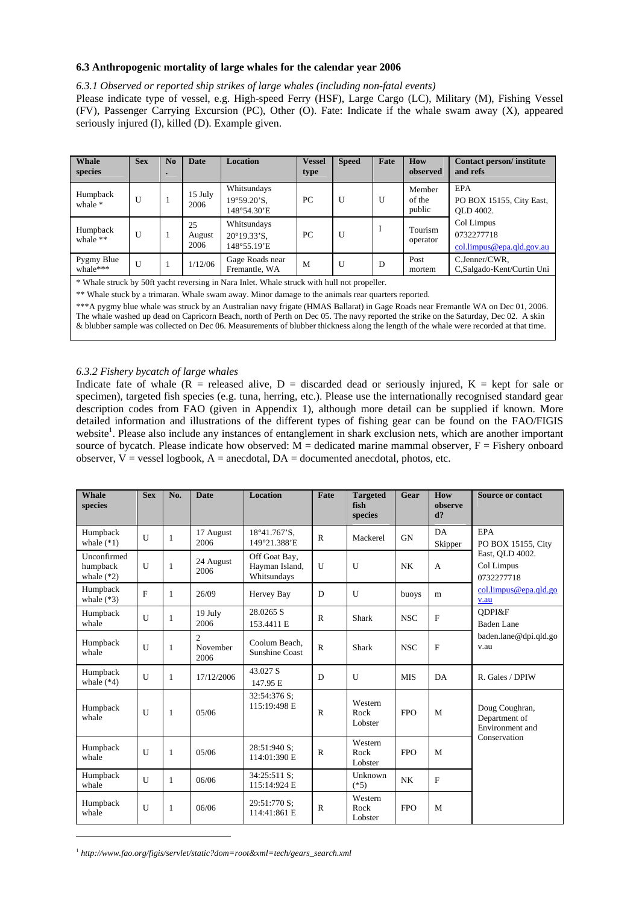#### **6.3 Anthropogenic mortality of large whales for the calendar year 2006**

#### *6.3.1 Observed or reported ship strikes of large whales (including non-fatal events)*

Please indicate type of vessel, e.g. High-speed Ferry (HSF), Large Cargo (LC), Military (M), Fishing Vessel (FV), Passenger Carrying Excursion (PC), Other (O). Fate: Indicate if the whale swam away (X), appeared seriously injured (I), killed (D). Example given.

| Whale<br>species       | <b>Sex</b> | No | <b>Date</b>          | <b>Location</b>                                     | <b>Vessel</b><br>type | <b>Speed</b> | Fate | How<br>observed            | Contact person/institute<br>and refs                  |
|------------------------|------------|----|----------------------|-----------------------------------------------------|-----------------------|--------------|------|----------------------------|-------------------------------------------------------|
| Humpback<br>whale *    | U          |    | 15 July<br>2006      | Whitsundays<br>$19^{\circ}59.20$ 'S.<br>148°54.30'E | PC                    | $\mathbf{U}$ | U    | Member<br>of the<br>public | EPA<br>PO BOX 15155, City East,<br>OLD 4002.          |
| Humpback<br>whale $**$ | U          |    | 25<br>August<br>2006 | Whitsundays<br>$20^{\circ}19.33$ 'S.<br>148°55.19'E | PC                    | U            | Ι    | Tourism<br>operator        | Col Limpus<br>0732277718<br>col.limpus@epa.qld.gov.au |
| Pygmy Blue<br>whale*** | U          |    | 1/12/06              | Gage Roads near<br>Fremantle, WA                    | M                     | $\mathbf{U}$ | D    | Post<br>mortem             | C.Jenner/CWR,<br>C,Salgado-Kent/Curtin Uni            |

\* Whale struck by 50ft yacht reversing in Nara Inlet. Whale struck with hull not propeller.

\*\* Whale stuck by a trimaran. Whale swam away. Minor damage to the animals rear quarters reported.

\*\*\*A pygmy blue whale was struck by an Australian navy frigate (HMAS Ballarat) in Gage Roads near Fremantle WA on Dec 01, 2006. The whale washed up dead on Capricorn Beach, north of Perth on Dec 05. The navy reported the strike on the Saturday, Dec 02. A skin & blubber sample was collected on Dec 06. Measurements of blubber thickness along the length of the whale were recorded at that time.

# *6.3.2 Fishery bycatch of large whales*

Indicate fate of whale  $(R =$  released alive,  $D =$  discarded dead or seriously injured,  $K =$  kept for sale or specimen), targeted fish species (e.g. tuna, herring, etc.). Please use the internationally recognised standard gear description codes from FAO (given in Appendix 1), although more detail can be supplied if known. More detailed information and illustrations of the different types of fishing gear can be found on the FAO/FIGIS website<sup>1</sup>. Please also include any instances of entanglement in shark exclusion nets, which are another important source of bycatch. Please indicate how observed:  $M =$  dedicated marine mammal observer,  $F =$  Fishery onboard observer,  $V =$  vessel logbook,  $A =$  anecdotal,  $DA =$  documented anecdotal, photos, etc.

| Whale<br>species                        | <b>Sex</b>   | No.          | <b>Date</b>                        | <b>Location</b>                                | Fate         | <b>Targeted</b><br>fish<br>species | Gear       | How<br>observe<br>$d$ ? | <b>Source or contact</b>                           |
|-----------------------------------------|--------------|--------------|------------------------------------|------------------------------------------------|--------------|------------------------------------|------------|-------------------------|----------------------------------------------------|
| Humpback<br>whale $(*1)$                | $\mathbf{I}$ | $\mathbf{1}$ | 17 August<br>2006                  | 18°41.767'S.<br>149°21.388'E                   | $\mathsf{R}$ | Mackerel                           | <b>GN</b>  | DA<br>Skipper           | EPA<br>PO BOX 15155, City                          |
| Unconfirmed<br>humpback<br>whale $(*2)$ | U            | 1            | 24 August<br>2006                  | Off Goat Bay,<br>Hayman Island,<br>Whitsundays | $\mathbf{U}$ | U                                  | <b>NK</b>  | A                       | East, QLD 4002.<br>Col Limpus<br>0732277718        |
| Humpback<br>whale $(*3)$                | F            | 1            | 26/09                              | Hervey Bay                                     | D            | U                                  | buoys      | m                       | col.limpus@epa.qld.go<br>v.au                      |
| Humpback<br>whale                       | $\mathbf{I}$ | 1            | 19 July<br>2006                    | 28.0265 S<br>153.4411 E                        | $\mathsf{R}$ | <b>Shark</b>                       | <b>NSC</b> | F                       | ODPI&F<br><b>Baden</b> Lane                        |
| Humpback<br>whale                       | U            | $\mathbf{1}$ | $\mathfrak{D}$<br>November<br>2006 | Coolum Beach.<br>Sunshine Coast                | $\mathsf{R}$ | <b>Shark</b>                       | <b>NSC</b> | F                       | baden.lane@dpi.qld.go<br>v.au                      |
| Humpback<br>whale $(*4)$                | U            | $\mathbf{1}$ | 17/12/2006                         | 43.027 S<br>147.95 E                           | D            | $\mathbf{U}$                       | <b>MIS</b> | DA                      | R. Gales / DPIW                                    |
| Humpback<br>whale                       | U            | $\mathbf{1}$ | 05/06                              | 32:54:376 S;<br>115:19:498 E                   | $\mathsf{R}$ | Western<br>Rock<br>Lobster         | <b>FPO</b> | M                       | Doug Coughran,<br>Department of<br>Environment and |
| Humpback<br>whale                       | U            | $\mathbf{1}$ | 05/06                              | 28:51:940 S;<br>114:01:390 E                   | $\mathsf{R}$ | Western<br>Rock<br>Lobster         | <b>FPO</b> | M                       | Conservation                                       |
| Humpback<br>whale                       | U            | $\mathbf{1}$ | 06/06                              | 34:25:511 S;<br>115:14:924 E                   |              | Unknown<br>$(*5)$                  | <b>NK</b>  | $\overline{F}$          |                                                    |
| Humpback<br>whale                       | $\mathbf{U}$ | $\mathbf{1}$ | 06/06                              | 29:51:770 S:<br>114:41:861 E                   | $\mathbb{R}$ | Western<br>Rock<br>Lobster         | <b>FPO</b> | M                       |                                                    |

<sup>1</sup> *http://www.fao.org/figis/servlet/static?dom=root&xml=tech/gears\_search.xml*

 $\overline{a}$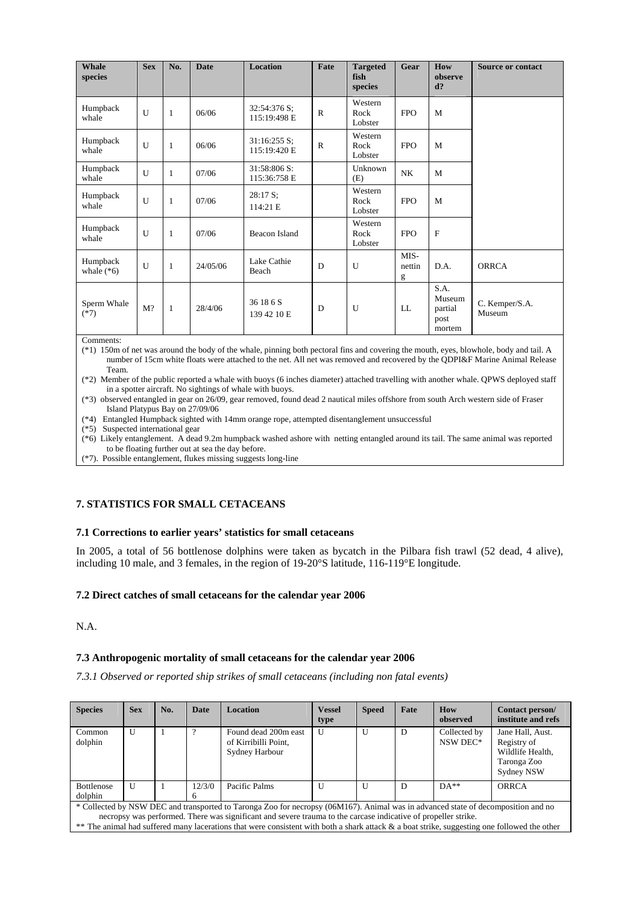| <b>Whale</b><br>species  | <b>Sex</b> | No.          | <b>Date</b> | <b>Location</b>                | Fate         | <b>Targeted</b><br>fish<br>species | Gear                | How<br>observe<br>$d$ ?                     | <b>Source or contact</b> |
|--------------------------|------------|--------------|-------------|--------------------------------|--------------|------------------------------------|---------------------|---------------------------------------------|--------------------------|
| Humpback<br>whale        | U          | -1           | 06/06       | 32:54:376 S;<br>115:19:498 E   | $\mathbb{R}$ | Western<br>Rock<br>Lobster         | <b>FPO</b>          | M                                           |                          |
| Humpback<br>whale        | U          | 1            | 06/06       | $31:16:255$ S;<br>115:19:420 E | $\mathbb{R}$ | Western<br>Rock<br>Lobster         | <b>FPO</b>          | M                                           |                          |
| Humpback<br>whale        | U          | $\mathbf{1}$ | 07/06       | 31:58:806 S:<br>115:36:758 E   |              | Unknown<br>(E)                     | <b>NK</b>           | M                                           |                          |
| Humpback<br>whale        | U          | $\mathbf{1}$ | 07/06       | $28:17 S$ ;<br>114:21 E        |              | Western<br>Rock<br>Lobster         | <b>FPO</b>          | M                                           |                          |
| Humpback<br>whale        | U          | 1            | 07/06       | Beacon Island                  |              | Western<br>Rock<br>Lobster         | <b>FPO</b>          | $\mathbf F$                                 |                          |
| Humpback<br>whale $(*6)$ | U          | $\mathbf{1}$ | 24/05/06    | Lake Cathie<br>Beach           | D            | U                                  | MIS-<br>nettin<br>g | D.A.                                        | <b>ORRCA</b>             |
| Sperm Whale<br>$(*7)$    | $M$ ?      | $\mathbf{1}$ | 28/4/06     | 36 18 6 S<br>139 42 10 E       | D            | U                                  | LL                  | S.A.<br>Museum<br>partial<br>post<br>mortem | C. Kemper/S.A.<br>Museum |

Comments:

(\*1) 150m of net was around the body of the whale, pinning both pectoral fins and covering the mouth, eyes, blowhole, body and tail. A number of 15cm white floats were attached to the net. All net was removed and recovered by the QDPI&F Marine Animal Release Team.

(\*2) Member of the public reported a whale with buoys (6 inches diameter) attached travelling with another whale. QPWS deployed staff in a spotter aircraft. No sightings of whale with buoys.

(\*3) observed entangled in gear on 26/09, gear removed, found dead 2 nautical miles offshore from south Arch western side of Fraser Island Platypus Bay on 27/09/06

(\*4) Entangled Humpback sighted with 14mm orange rope, attempted disentanglement unsuccessful

(\*5) Suspected international gear

(\*6) Likely entanglement. A dead 9.2m humpback washed ashore with netting entangled around its tail. The same animal was reported to be floating further out at sea the day before.

(\*7). Possible entanglement, flukes missing suggests long-line

# **7. STATISTICS FOR SMALL CETACEANS**

# **7.1 Corrections to earlier years' statistics for small cetaceans**

In 2005, a total of 56 bottlenose dolphins were taken as bycatch in the Pilbara fish trawl (52 dead, 4 alive), including 10 male, and 3 females, in the region of 19-20°S latitude, 116-119°E longitude.

# **7.2 Direct catches of small cetaceans for the calendar year 2006**

N.A.

# **7.3 Anthropogenic mortality of small cetaceans for the calendar year 2006**

*7.3.1 Observed or reported ship strikes of small cetaceans (including non fatal events)* 

| <b>Species</b>                                                                                                                                                                                                                                      | <b>Sex</b> | No. | <b>Date</b> | <b>Location</b>                                                | <b>Vessel</b><br>type | <b>Speed</b> | Fate | How<br>observed          | Contact person/<br>institute and refs                                                   |  |
|-----------------------------------------------------------------------------------------------------------------------------------------------------------------------------------------------------------------------------------------------------|------------|-----|-------------|----------------------------------------------------------------|-----------------------|--------------|------|--------------------------|-----------------------------------------------------------------------------------------|--|
| Common<br>dolphin                                                                                                                                                                                                                                   | U          |     |             | Found dead 200m east<br>of Kirribilli Point,<br>Sydney Harbour | $\mathbf{U}$          | U            | D    | Collected by<br>NSW DEC* | Jane Hall, Aust.<br>Registry of<br>Wildlife Health,<br>Taronga Zoo<br><b>Sydney NSW</b> |  |
| Bottlenose<br>dolphin                                                                                                                                                                                                                               | U          |     | 12/3/0      | Pacific Palms                                                  | U                     | U            | D    | $DA**$                   | <b>ORRCA</b>                                                                            |  |
| * Collected by NSW DEC and transported to Taronga Zoo for necropsy (06M167). Animal was in advanced state of decomposition and no<br>necropsy was performed. There was significant and severe trauma to the carcase indicative of propeller strike. |            |     |             |                                                                |                       |              |      |                          |                                                                                         |  |

\*\* The animal had suffered many lacerations that were consistent with both a shark attack & a boat strike, suggesting one followed the other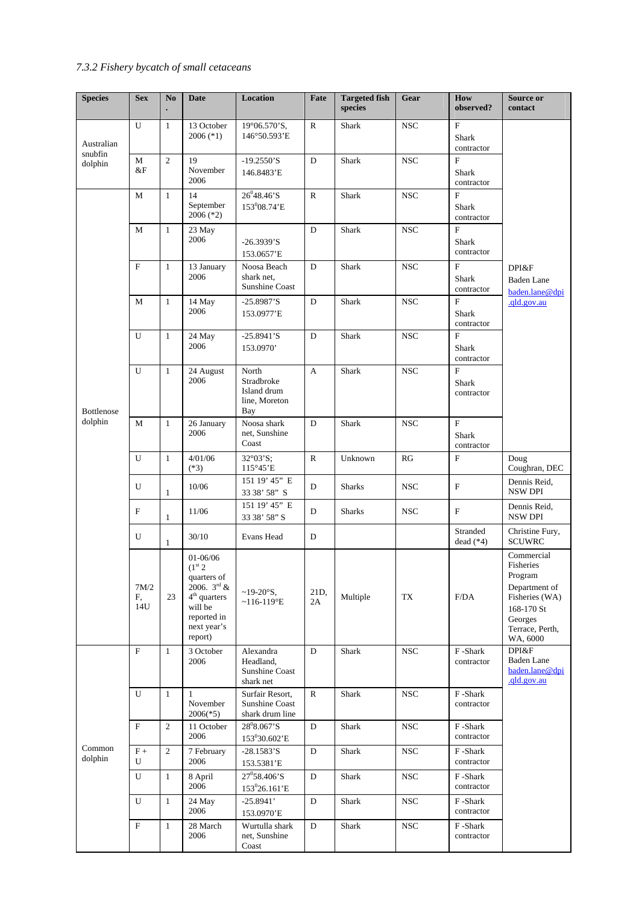# *7.3.2 Fishery bycatch of small cetaceans*

| <b>Species</b>        | <b>Sex</b>        | No             | <b>Date</b>                                                                                                                             | <b>Location</b>                                            | Fate         | <b>Targeted fish</b><br>species | Gear         | How<br>observed?                             | Source or<br>contact                                                                                                          |
|-----------------------|-------------------|----------------|-----------------------------------------------------------------------------------------------------------------------------------------|------------------------------------------------------------|--------------|---------------------------------|--------------|----------------------------------------------|-------------------------------------------------------------------------------------------------------------------------------|
| Australian<br>snubfin | U                 | $\mathbf{1}$   | 13 October<br>2006 (*1)                                                                                                                 | 19°06.570'S,<br>146°50.593'E                               | $\mathbb{R}$ | Shark                           | <b>NSC</b>   | $\overline{F}$<br>Shark<br>contractor        |                                                                                                                               |
| dolphin               | $\mathbf M$<br>&F | $\overline{2}$ | 19<br>November<br>2006                                                                                                                  | $-19.2550$ 'S<br>146.8483'E                                | $\mathbf{D}$ | Shark                           | <b>NSC</b>   | $\overline{F}$<br>Shark<br>contractor        |                                                                                                                               |
|                       | M                 | $\mathbf{1}$   | 14<br>September<br>$2006$ ( $*2$ )                                                                                                      | $26^{0}48.46$ 'S<br>153 <sup>0</sup> 08.74'E               | $\mathbb{R}$ | Shark                           | <b>NSC</b>   | $\overline{F}$<br>Shark<br>contractor        |                                                                                                                               |
|                       | М                 | $\mathbf{1}$   | 23 May<br>2006                                                                                                                          | $-26.3939'S$<br>153.0657'E                                 | D            | Shark                           | <b>NSC</b>   | $\overline{F}$<br>Shark<br>contractor        |                                                                                                                               |
|                       | $\overline{F}$    | $\mathbf{1}$   | 13 January<br>2006                                                                                                                      | Noosa Beach<br>shark net,<br>Sunshine Coast                | D            | Shark                           | <b>NSC</b>   | F<br><b>Shark</b><br>contractor              | DPI&F<br><b>Baden</b> Lane<br>baden.lane@dpi                                                                                  |
|                       | M                 | $\mathbf{1}$   | 14 May<br>2006                                                                                                                          | $-25.8987'S$<br>153.0977'E                                 | D            | <b>Shark</b>                    | <b>NSC</b>   | $\mathbf{F}$<br>Shark<br>contractor          | .qld.gov.au                                                                                                                   |
|                       | U                 | $\mathbf{1}$   | 24 May<br>2006                                                                                                                          | $-25.8941$ 'S<br>153.0970'                                 | D            | Shark                           | <b>NSC</b>   | $\overline{F}$<br><b>Shark</b><br>contractor |                                                                                                                               |
| Bottlenose            | U                 | $\mathbf{1}$   | 24 August<br>2006                                                                                                                       | North<br>Stradbroke<br>Island drum<br>line, Moreton<br>Bay | A            | Shark                           | <b>NSC</b>   | $\overline{F}$<br>Shark<br>contractor        |                                                                                                                               |
| dolphin               | М                 | $\mathbf{1}$   | 26 January<br>2006                                                                                                                      | Noosa shark<br>net, Sunshine<br>Coast                      | D            | Shark                           | <b>NSC</b>   | ${\bf F}$<br><b>Shark</b><br>contractor      |                                                                                                                               |
|                       | U                 | $\mathbf{1}$   | 4/01/06<br>$(*3)$                                                                                                                       | $32^{\circ}03^{\circ}S$ ;<br>$115^{\circ}45$ 'E            | ${\bf R}$    | Unknown                         | RG           | $\mathbf F$                                  | Doug<br>Coughran, DEC                                                                                                         |
|                       | U                 | $\mathbf{1}$   | 10/06                                                                                                                                   | 151 19' 45" E<br>33 38' 58" S                              | D            | <b>Sharks</b>                   | <b>NSC</b>   | $\boldsymbol{\mathrm{F}}$                    | Dennis Reid,<br><b>NSW DPI</b>                                                                                                |
|                       | $\mathbf F$       | $\mathbf{1}$   | 11/06                                                                                                                                   | 151 19' 45" E<br>33 38' 58" S                              | D            | <b>Sharks</b>                   | <b>NSC</b>   | F                                            | Dennis Reid,<br><b>NSW DPI</b>                                                                                                |
|                       | U                 | $\mathbf{1}$   | 30/10                                                                                                                                   | Evans Head                                                 | D            |                                 |              | Stranded<br>dead $(*4)$                      | Christine Fury,<br><b>SCUWRC</b>                                                                                              |
|                       | 7M/2<br>F,<br>14U | 23             | 01-06/06<br>(1 <sup>st</sup> 2)<br>quarters of<br>$2006.3^{rd}$ &<br>$4th$ quarters<br>will be<br>reported in<br>next year's<br>report) | $~19-20$ °S,<br>$~116-119$ <sup>o</sup> E                  | 21D,<br>2A   | Multiple                        | TX           | F/DA                                         | Commercial<br>Fisheries<br>Program<br>Department of<br>Fisheries (WA)<br>168-170 St<br>Georges<br>Terrace, Perth,<br>WA, 6000 |
|                       | $\mathbf F$       | $\mathbf{1}$   | 3 October<br>2006                                                                                                                       | Alexandra<br>Headland,<br>Sunshine Coast<br>shark net      | D            | Shark                           | $_{\rm NSC}$ | F-Shark<br>contractor                        | DPI&F<br><b>Baden</b> Lane<br>baden.lane@dpi<br>.qld.gov.au                                                                   |
|                       | U                 | $\mathbf{1}$   | $\mathbf{1}$<br>November<br>$2006(*5)$                                                                                                  | Surfair Resort,<br>Sunshine Coast<br>shark drum line       | ${\bf R}$    | Shark                           | <b>NSC</b>   | F-Shark<br>contractor                        |                                                                                                                               |
|                       | $\mathbf F$       | $\overline{2}$ | 11 October<br>2006                                                                                                                      | $28^08.067$ 'S<br>153°30.602'E                             | $\mathbf D$  | Shark                           | $_{\rm NSC}$ | F-Shark<br>contractor                        |                                                                                                                               |
| Common<br>dolphin     | $F +$<br>U        | $\overline{2}$ | 7 February<br>2006                                                                                                                      | $-28.1583'S$<br>153.5381'E                                 | D            | Shark                           | $_{\rm NSC}$ | F-Shark<br>contractor                        |                                                                                                                               |
|                       | U                 | $\mathbf{1}$   | 8 April<br>2006                                                                                                                         | $27^{\circ}58.406^{\circ}S$<br>153°26.161'E                | $\mathbf D$  | Shark                           | $_{\rm NSC}$ | F-Shark<br>contractor                        |                                                                                                                               |
|                       | U                 | $\mathbf{1}$   | 24 May<br>2006                                                                                                                          | $-25.8941'$<br>153.0970'E                                  | D            | Shark                           | $_{\rm NSC}$ | F-Shark<br>contractor                        |                                                                                                                               |
|                       | $\mathbf F$       | $\mathbf{1}$   | 28 March<br>2006                                                                                                                        | Wurtulla shark<br>net, Sunshine<br>Coast                   | D            | Shark                           | <b>NSC</b>   | F-Shark<br>contractor                        |                                                                                                                               |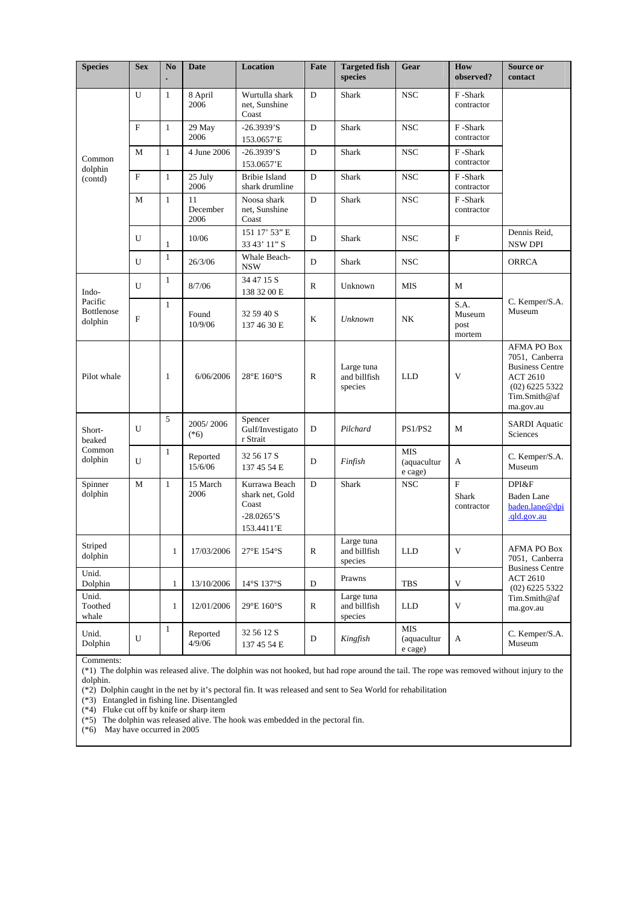| <b>Species</b>                   | <b>Sex</b>   | No           | <b>Date</b>            | <b>Location</b>                                                          | Fate         | <b>Targeted fish</b><br>species       | Gear                                 | How<br>observed?                                 | Source or<br>contact                                                                                                        |
|----------------------------------|--------------|--------------|------------------------|--------------------------------------------------------------------------|--------------|---------------------------------------|--------------------------------------|--------------------------------------------------|-----------------------------------------------------------------------------------------------------------------------------|
|                                  | U            | $\mathbf{1}$ | 8 April<br>2006        | Wurtulla shark<br>net, Sunshine<br>Coast                                 | D            | Shark                                 | <b>NSC</b>                           | F-Shark<br>contractor                            |                                                                                                                             |
|                                  | $\mathbf F$  | $\mathbf{1}$ | 29 May<br>2006         | $-26.3939'S$<br>153.0657'E                                               | D            | <b>Shark</b>                          | <b>NSC</b>                           | F-Shark<br>contractor                            |                                                                                                                             |
| Common                           | M            | $\mathbf{1}$ | 4 June 2006            | $-26.3939'S$<br>153.0657'E                                               | D            | <b>Shark</b>                          | <b>NSC</b>                           | F-Shark<br>contractor                            |                                                                                                                             |
| dolphin<br>(contd)               | $\mathbf F$  | $\mathbf{1}$ | 25 July<br>2006        | <b>Bribie Island</b><br>shark drumline                                   | D            | Shark                                 | <b>NSC</b>                           | F-Shark<br>contractor                            |                                                                                                                             |
|                                  | M            | $\mathbf{1}$ | 11<br>December<br>2006 | Noosa shark<br>net. Sunshine<br>Coast                                    | D            | Shark                                 | <b>NSC</b>                           | F-Shark<br>contractor                            |                                                                                                                             |
|                                  | U            | $\mathbf{1}$ | 10/06                  | 151 17' 53" E<br>33 43' 11" S                                            | D            | Shark                                 | <b>NSC</b>                           | $\mathbf F$                                      | Dennis Reid,<br><b>NSW DPI</b>                                                                                              |
|                                  | $\mathbf{U}$ | $\mathbf{1}$ | 26/3/06                | Whale Beach-<br><b>NSW</b>                                               | D            | Shark                                 | <b>NSC</b>                           |                                                  | <b>ORRCA</b>                                                                                                                |
| Indo-                            | U            | 1            | 8/7/06                 | 34 47 15 S<br>138 32 00 E                                                | $\mathbb{R}$ | Unknown                               | <b>MIS</b>                           | M                                                |                                                                                                                             |
| Pacific<br>Bottlenose<br>dolphin | $\mathbf{F}$ | $\mathbf{1}$ | Found<br>10/9/06       | 32 59 40 S<br>137 46 30 E                                                | K            | <b>Unknown</b>                        | NK                                   | S.A.<br>Museum<br>post<br>mortem                 | C. Kemper/S.A.<br>Museum                                                                                                    |
| Pilot whale                      |              | $\mathbf{1}$ | 6/06/2006              | 28°E 160°S                                                               | R            | Large tuna<br>and billfish<br>species | <b>LLD</b>                           | V                                                | AFMA PO Box<br>7051, Canberra<br><b>Business Centre</b><br><b>ACT 2610</b><br>$(02)$ 6225 5322<br>Tim.Smith@af<br>ma.gov.au |
| Short-<br>beaked                 | U            | 5            | 2005/2006<br>$(*6)$    | Spencer<br>Gulf/Investigato<br>r Strait                                  | D            | Pilchard                              | PS1/PS2                              | M                                                | <b>SARDI</b> Aquatic<br>Sciences                                                                                            |
| Common<br>dolphin                | U            | $\mathbf{1}$ | Reported<br>15/6/06    | 32 56 17 S<br>137 45 54 E                                                | D            | Finfish                               | <b>MIS</b><br>(aquacultur<br>e cage) | A                                                | C. Kemper/S.A.<br>Museum                                                                                                    |
| Spinner<br>dolphin               | M            | $\mathbf{1}$ | 15 March<br>2006       | Kurrawa Beach<br>shark net, Gold<br>Coast<br>$-28.0265$ 'S<br>153.4411'E | D            | Shark                                 | <b>NSC</b>                           | $\boldsymbol{\mathrm{F}}$<br>Shark<br>contractor | DPI&F<br>Baden Lane<br>baden.lane@dpi<br>.qld.gov.au                                                                        |
| Striped<br>dolphin               |              | $\mathbf{1}$ | 17/03/2006             | 27°E 154°S                                                               | R            | Large tuna<br>and billfish<br>species | <b>LLD</b>                           | $\mathbf V$                                      | AFMA PO Box<br>7051, Canberra                                                                                               |
| Unid.<br>Dolphin                 |              | $\mathbf{1}$ | 13/10/2006             | $14°S$ 137°S                                                             | D            | Prawns                                | <b>TBS</b>                           | V                                                | <b>Business Centre</b><br><b>ACT 2610</b><br>$(02)$ 6225 5322                                                               |
| Unid.<br>Toothed<br>whale        |              | $\mathbf{1}$ | 12/01/2006             | 29°E 160°S                                                               | R            | Large tuna<br>and billfish<br>species | <b>LLD</b>                           | $\ensuremath{\mathbf{V}}$                        | Tim.Smith@af<br>ma.gov.au                                                                                                   |
| Unid.<br>Dolphin                 | $\mathbf U$  | $\mathbf{1}$ | Reported<br>4/9/06     | 32 56 12 S<br>137 45 54 E                                                | ${\rm D}$    | Kingfish                              | <b>MIS</b><br>(aquacultur<br>e cage) | A                                                | C. Kemper/S.A.<br>Museum                                                                                                    |

Comments:

(\*1) The dolphin was released alive. The dolphin was not hooked, but had rope around the tail. The rope was removed without injury to the dolphin.

(\*2) Dolphin caught in the net by it's pectoral fin. It was released and sent to Sea World for rehabilitation

(\*3) Entangled in fishing line. Disentangled

(\*4) Fluke cut off by knife or sharp item

(\*5) The dolphin was released alive. The hook was embedded in the pectoral fin.

(\*6) May have occurred in 2005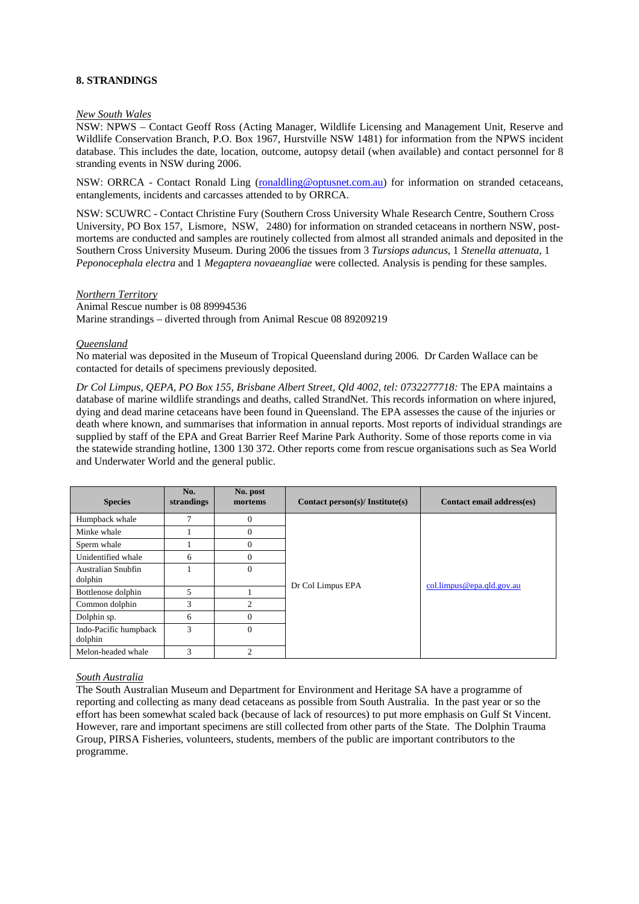#### **8. STRANDINGS**

#### *New South Wales*

NSW: NPWS – Contact Geoff Ross (Acting Manager, Wildlife Licensing and Management Unit, Reserve and Wildlife Conservation Branch, P.O. Box 1967, Hurstville NSW 1481) for information from the NPWS incident database. This includes the date, location, outcome, autopsy detail (when available) and contact personnel for 8 stranding events in NSW during 2006.

NSW: ORRCA - Contact Ronald Ling (ronaldling@optusnet.com.au) for information on stranded cetaceans, entanglements, incidents and carcasses attended to by ORRCA.

NSW: SCUWRC - Contact Christine Fury (Southern Cross University Whale Research Centre, Southern Cross University, PO Box 157, Lismore, NSW, 2480) for information on stranded cetaceans in northern NSW, postmortems are conducted and samples are routinely collected from almost all stranded animals and deposited in the Southern Cross University Museum. During 2006 the tissues from 3 *Tursiops aduncus*, 1 *Stenella attenuata*, 1 *Peponocephala electra* and 1 *Megaptera novaeangliae* were collected. Analysis is pending for these samples.

#### *Northern Territory*

Animal Rescue number is 08 89994536 Marine strandings – diverted through from Animal Rescue 08 89209219

#### *Queensland*

No material was deposited in the Museum of Tropical Queensland during 2006*.* Dr Carden Wallace can be contacted for details of specimens previously deposited.

*Dr Col Limpus, QEPA, PO Box 155, Brisbane Albert Street, Qld 4002, tel: 0732277718:* The EPA maintains a database of marine wildlife strandings and deaths, called StrandNet. This records information on where injured, dying and dead marine cetaceans have been found in Queensland. The EPA assesses the cause of the injuries or death where known, and summarises that information in annual reports. Most reports of individual strandings are supplied by staff of the EPA and Great Barrier Reef Marine Park Authority. Some of those reports come in via the statewide stranding hotline, 1300 130 372. Other reports come from rescue organisations such as Sea World and Underwater World and the general public.

| <b>Species</b>                   | No.<br>strandings | No. post<br>mortems | Contact person(s)/ Institute(s) | Contact email address(es) |  |
|----------------------------------|-------------------|---------------------|---------------------------------|---------------------------|--|
| Humpback whale                   | 7                 | $\theta$            |                                 |                           |  |
| Minke whale                      |                   | $\theta$            |                                 |                           |  |
| Sperm whale                      |                   | $\theta$            |                                 |                           |  |
| Unidentified whale               | 6                 | $\theta$            |                                 |                           |  |
| Australian Snubfin<br>dolphin    |                   | $\Omega$            | Dr Col Limpus EPA               | col.limpus@epa.qld.gov.au |  |
| Bottlenose dolphin               | 5                 |                     |                                 |                           |  |
| Common dolphin                   | 3                 | $\overline{c}$      |                                 |                           |  |
| Dolphin sp.                      | 6                 | $\theta$            |                                 |                           |  |
| Indo-Pacific humpback<br>dolphin | 3                 | $\Omega$            |                                 |                           |  |
| Melon-headed whale               | 3                 | $\overline{c}$      |                                 |                           |  |

#### *South Australia*

The South Australian Museum and Department for Environment and Heritage SA have a programme of reporting and collecting as many dead cetaceans as possible from South Australia. In the past year or so the effort has been somewhat scaled back (because of lack of resources) to put more emphasis on Gulf St Vincent. However, rare and important specimens are still collected from other parts of the State. The Dolphin Trauma Group, PIRSA Fisheries, volunteers, students, members of the public are important contributors to the programme.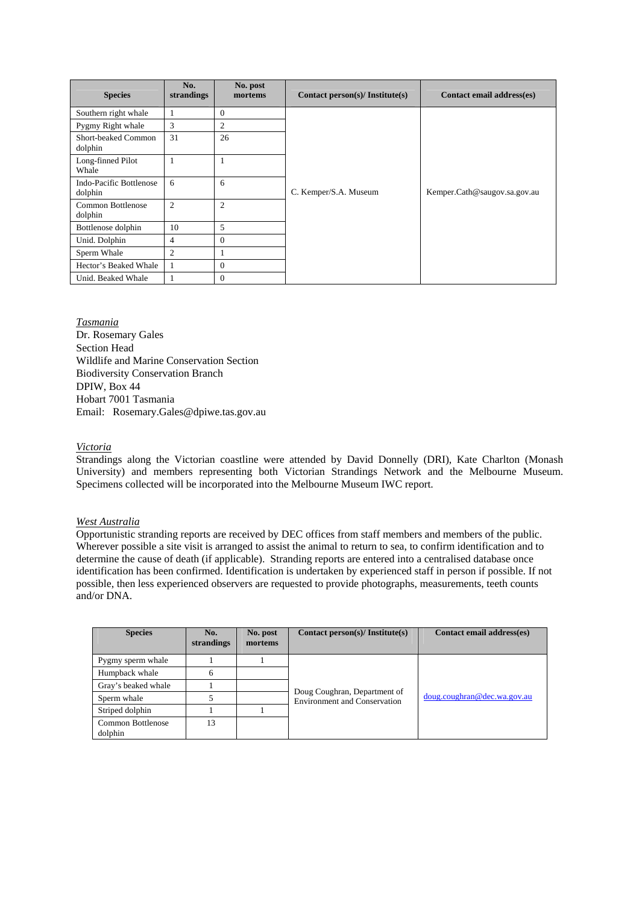| <b>Species</b>                            | No.<br>strandings | No. post<br>mortems | Contact person(s)/ Institute(s) | Contact email address(es)    |
|-------------------------------------------|-------------------|---------------------|---------------------------------|------------------------------|
| Southern right whale                      |                   | $\Omega$            |                                 |                              |
| Pygmy Right whale                         | 3                 | $\overline{2}$      |                                 |                              |
| Short-beaked Common<br>dolphin            | 31                | 26                  |                                 |                              |
| Long-finned Pilot<br>Whale                |                   |                     |                                 |                              |
| <b>Indo-Pacific Bottlenose</b><br>dolphin | 6                 | 6                   | C. Kemper/S.A. Museum           | Kemper.Cath@saugov.sa.gov.au |
| Common Bottlenose<br>dolphin              | 2                 | $\overline{2}$      |                                 |                              |
| Bottlenose dolphin                        | 10                | 5                   |                                 |                              |
| Unid. Dolphin                             | 4                 | $\Omega$            |                                 |                              |
| Sperm Whale                               | $\overline{c}$    |                     |                                 |                              |
| Hector's Beaked Whale                     |                   | $\Omega$            |                                 |                              |
| Unid. Beaked Whale                        |                   | $\Omega$            |                                 |                              |

*Tasmania* Dr. Rosemary Gales Section Head Wildlife and Marine Conservation Section Biodiversity Conservation Branch DPIW, Box 44 Hobart 7001 Tasmania Email: Rosemary.Gales@dpiwe.tas.gov.au

# *Victoria*

Strandings along the Victorian coastline were attended by David Donnelly (DRI), Kate Charlton (Monash University) and members representing both Victorian Strandings Network and the Melbourne Museum. Specimens collected will be incorporated into the Melbourne Museum IWC report.

# *West Australia*

Opportunistic stranding reports are received by DEC offices from staff members and members of the public. Wherever possible a site visit is arranged to assist the animal to return to sea, to confirm identification and to determine the cause of death (if applicable). Stranding reports are entered into a centralised database once identification has been confirmed. Identification is undertaken by experienced staff in person if possible. If not possible, then less experienced observers are requested to provide photographs, measurements, teeth counts and/or DNA.

| <b>Species</b>               | No.<br>strandings | No. post<br>mortems | Contact person(s)/ Institute(s)                                     | Contact email address(es)   |
|------------------------------|-------------------|---------------------|---------------------------------------------------------------------|-----------------------------|
| Pygmy sperm whale            |                   |                     |                                                                     |                             |
| Humpback whale               | 6                 |                     |                                                                     |                             |
| Gray's beaked whale          |                   |                     |                                                                     |                             |
| Sperm whale                  |                   |                     | Doug Coughran, Department of<br><b>Environment and Conservation</b> | doug.coughran@dec.wa.gov.au |
| Striped dolphin              |                   |                     |                                                                     |                             |
| Common Bottlenose<br>dolphin | 13                |                     |                                                                     |                             |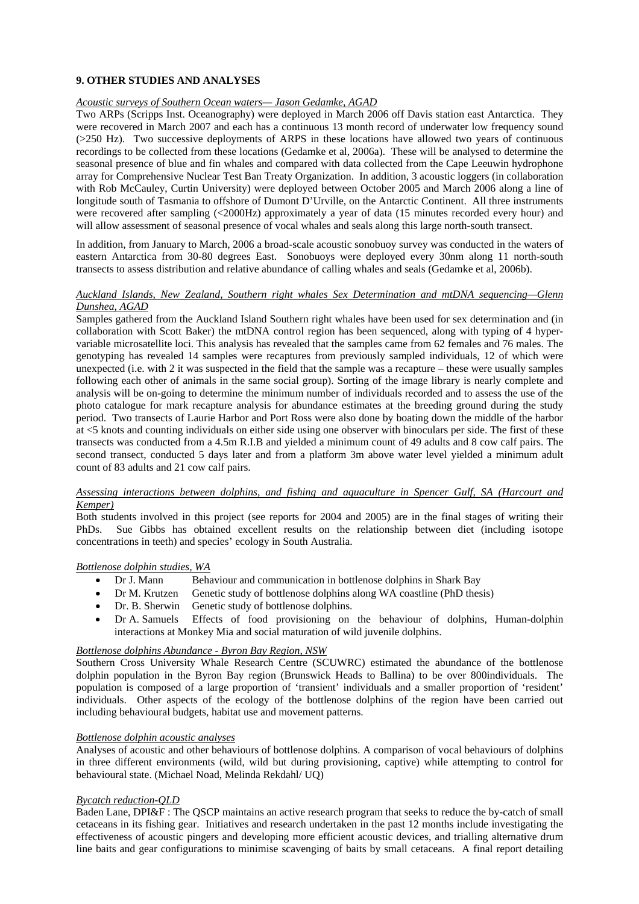# **9. OTHER STUDIES AND ANALYSES**

#### *Acoustic surveys of Southern Ocean waters— Jason Gedamke, AGAD*

Two ARPs (Scripps Inst. Oceanography) were deployed in March 2006 off Davis station east Antarctica. They were recovered in March 2007 and each has a continuous 13 month record of underwater low frequency sound (>250 Hz). Two successive deployments of ARPS in these locations have allowed two years of continuous recordings to be collected from these locations (Gedamke et al, 2006a). These will be analysed to determine the seasonal presence of blue and fin whales and compared with data collected from the Cape Leeuwin hydrophone array for Comprehensive Nuclear Test Ban Treaty Organization. In addition, 3 acoustic loggers (in collaboration with Rob McCauley, Curtin University) were deployed between October 2005 and March 2006 along a line of longitude south of Tasmania to offshore of Dumont D'Urville, on the Antarctic Continent. All three instruments were recovered after sampling (<2000Hz) approximately a year of data (15 minutes recorded every hour) and will allow assessment of seasonal presence of vocal whales and seals along this large north-south transect.

In addition, from January to March, 2006 a broad-scale acoustic sonobuoy survey was conducted in the waters of eastern Antarctica from 30-80 degrees East. Sonobuoys were deployed every 30nm along 11 north-south transects to assess distribution and relative abundance of calling whales and seals (Gedamke et al, 2006b).

#### *Auckland Islands, New Zealand, Southern right whales Sex Determination and mtDNA sequencing—Glenn Dunshea, AGAD*

Samples gathered from the Auckland Island Southern right whales have been used for sex determination and (in collaboration with Scott Baker) the mtDNA control region has been sequenced, along with typing of 4 hypervariable microsatellite loci. This analysis has revealed that the samples came from 62 females and 76 males. The genotyping has revealed 14 samples were recaptures from previously sampled individuals, 12 of which were unexpected (i.e. with 2 it was suspected in the field that the sample was a recapture – these were usually samples following each other of animals in the same social group). Sorting of the image library is nearly complete and analysis will be on-going to determine the minimum number of individuals recorded and to assess the use of the photo catalogue for mark recapture analysis for abundance estimates at the breeding ground during the study period. Two transects of Laurie Harbor and Port Ross were also done by boating down the middle of the harbor at <5 knots and counting individuals on either side using one observer with binoculars per side. The first of these transects was conducted from a 4.5m R.I.B and yielded a minimum count of 49 adults and 8 cow calf pairs. The second transect, conducted 5 days later and from a platform 3m above water level yielded a minimum adult count of 83 adults and 21 cow calf pairs.

#### *Assessing interactions between dolphins, and fishing and aquaculture in Spencer Gulf, SA (Harcourt and Kemper)*

Both students involved in this project (see reports for 2004 and 2005) are in the final stages of writing their PhDs. Sue Gibbs has obtained excellent results on the relationship between diet (including isotope concentrations in teeth) and species' ecology in South Australia.

# *Bottlenose dolphin studies, WA*

- Dr J. Mann Behaviour and communication in bottlenose dolphins in Shark Bay
- Dr M. Krutzen Genetic study of bottlenose dolphins along WA coastline (PhD thesis)
- Dr. B. Sherwin Genetic study of bottlenose dolphins.
- Dr A. Samuels Effects of food provisioning on the behaviour of dolphins, Human-dolphin interactions at Monkey Mia and social maturation of wild juvenile dolphins.

#### *Bottlenose dolphins Abundance - Byron Bay Region, NSW*

Southern Cross University Whale Research Centre (SCUWRC) estimated the abundance of the bottlenose dolphin population in the Byron Bay region (Brunswick Heads to Ballina) to be over 800individuals. The population is composed of a large proportion of 'transient' individuals and a smaller proportion of 'resident' individuals. Other aspects of the ecology of the bottlenose dolphins of the region have been carried out including behavioural budgets, habitat use and movement patterns.

#### *Bottlenose dolphin acoustic analyses*

Analyses of acoustic and other behaviours of bottlenose dolphins. A comparison of vocal behaviours of dolphins in three different environments (wild, wild but during provisioning, captive) while attempting to control for behavioural state. (Michael Noad, Melinda Rekdahl/ UQ)

#### *Bycatch reduction-QLD*

Baden Lane, DPI&F : The QSCP maintains an active research program that seeks to reduce the by-catch of small cetaceans in its fishing gear. Initiatives and research undertaken in the past 12 months include investigating the effectiveness of acoustic pingers and developing more efficient acoustic devices, and trialling alternative drum line baits and gear configurations to minimise scavenging of baits by small cetaceans. A final report detailing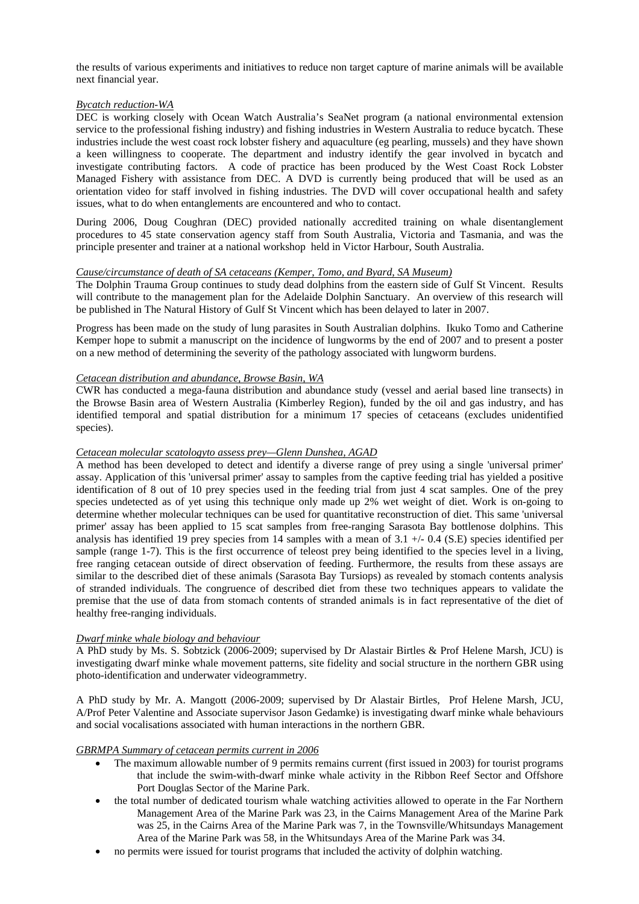the results of various experiments and initiatives to reduce non target capture of marine animals will be available next financial year.

#### *Bycatch reduction-WA*

DEC is working closely with Ocean Watch Australia's SeaNet program (a national environmental extension service to the professional fishing industry) and fishing industries in Western Australia to reduce bycatch. These industries include the west coast rock lobster fishery and aquaculture (eg pearling, mussels) and they have shown a keen willingness to cooperate. The department and industry identify the gear involved in bycatch and investigate contributing factors. A code of practice has been produced by the West Coast Rock Lobster Managed Fishery with assistance from DEC. A DVD is currently being produced that will be used as an orientation video for staff involved in fishing industries. The DVD will cover occupational health and safety issues, what to do when entanglements are encountered and who to contact.

During 2006, Doug Coughran (DEC) provided nationally accredited training on whale disentanglement procedures to 45 state conservation agency staff from South Australia, Victoria and Tasmania, and was the principle presenter and trainer at a national workshop held in Victor Harbour, South Australia.

#### *Cause/circumstance of death of SA cetaceans (Kemper, Tomo, and Byard, SA Museum)*

The Dolphin Trauma Group continues to study dead dolphins from the eastern side of Gulf St Vincent. Results will contribute to the management plan for the Adelaide Dolphin Sanctuary. An overview of this research will be published in The Natural History of Gulf St Vincent which has been delayed to later in 2007.

Progress has been made on the study of lung parasites in South Australian dolphins. Ikuko Tomo and Catherine Kemper hope to submit a manuscript on the incidence of lungworms by the end of 2007 and to present a poster on a new method of determining the severity of the pathology associated with lungworm burdens.

# *Cetacean distribution and abundance, Browse Basin, WA*

CWR has conducted a mega-fauna distribution and abundance study (vessel and aerial based line transects) in the Browse Basin area of Western Australia (Kimberley Region), funded by the oil and gas industry, and has identified temporal and spatial distribution for a minimum 17 species of cetaceans (excludes unidentified species).

#### *Cetacean molecular scatologyto assess prey—Glenn Dunshea, AGAD*

A method has been developed to detect and identify a diverse range of prey using a single 'universal primer' assay. Application of this 'universal primer' assay to samples from the captive feeding trial has yielded a positive identification of 8 out of 10 prey species used in the feeding trial from just 4 scat samples. One of the prey species undetected as of yet using this technique only made up 2% wet weight of diet. Work is on-going to determine whether molecular techniques can be used for quantitative reconstruction of diet. This same 'universal primer' assay has been applied to 15 scat samples from free-ranging Sarasota Bay bottlenose dolphins. This analysis has identified 19 prey species from 14 samples with a mean of  $3.1 +/0.4$  (S.E) species identified per sample (range 1-7). This is the first occurrence of teleost prey being identified to the species level in a living, free ranging cetacean outside of direct observation of feeding. Furthermore, the results from these assays are similar to the described diet of these animals (Sarasota Bay Tursiops) as revealed by stomach contents analysis of stranded individuals. The congruence of described diet from these two techniques appears to validate the premise that the use of data from stomach contents of stranded animals is in fact representative of the diet of healthy free-ranging individuals.

#### *Dwarf minke whale biology and behaviour*

A PhD study by Ms. S. Sobtzick (2006-2009; supervised by Dr Alastair Birtles & Prof Helene Marsh, JCU) is investigating dwarf minke whale movement patterns, site fidelity and social structure in the northern GBR using photo-identification and underwater videogrammetry.

A PhD study by Mr. A. Mangott (2006-2009; supervised by Dr Alastair Birtles, Prof Helene Marsh, JCU, A/Prof Peter Valentine and Associate supervisor Jason Gedamke) is investigating dwarf minke whale behaviours and social vocalisations associated with human interactions in the northern GBR.

#### *GBRMPA Summary of cetacean permits current in 2006*

- The maximum allowable number of 9 permits remains current (first issued in 2003) for tourist programs that include the swim-with-dwarf minke whale activity in the Ribbon Reef Sector and Offshore Port Douglas Sector of the Marine Park.
- the total number of dedicated tourism whale watching activities allowed to operate in the Far Northern Management Area of the Marine Park was 23, in the Cairns Management Area of the Marine Park was 25, in the Cairns Area of the Marine Park was 7, in the Townsville/Whitsundays Management Area of the Marine Park was 58, in the Whitsundays Area of the Marine Park was 34.
- no permits were issued for tourist programs that included the activity of dolphin watching.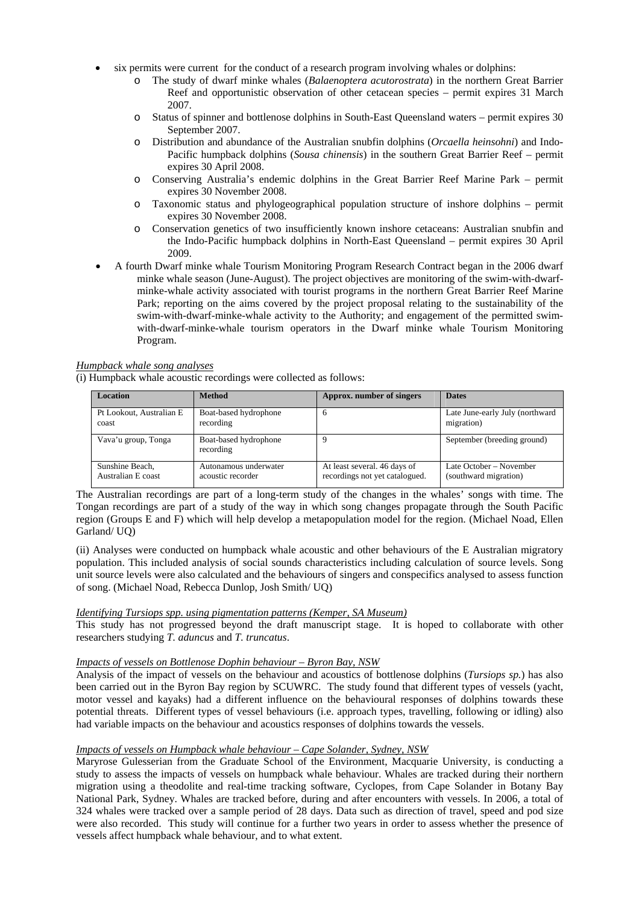- six permits were current for the conduct of a research program involving whales or dolphins:
	- o The study of dwarf minke whales (*Balaenoptera acutorostrata*) in the northern Great Barrier Reef and opportunistic observation of other cetacean species – permit expires 31 March 2007.
	- o Status of spinner and bottlenose dolphins in South-East Queensland waters permit expires 30 September 2007.
	- o Distribution and abundance of the Australian snubfin dolphins (*Orcaella heinsohni*) and Indo-Pacific humpback dolphins (*Sousa chinensis*) in the southern Great Barrier Reef – permit expires 30 April 2008.
	- o Conserving Australia's endemic dolphins in the Great Barrier Reef Marine Park permit expires 30 November 2008.
	- o Taxonomic status and phylogeographical population structure of inshore dolphins permit expires 30 November 2008.
	- o Conservation genetics of two insufficiently known inshore cetaceans: Australian snubfin and the Indo-Pacific humpback dolphins in North-East Queensland – permit expires 30 April 2009.
- A fourth Dwarf minke whale Tourism Monitoring Program Research Contract began in the 2006 dwarf minke whale season (June-August). The project objectives are monitoring of the swim-with-dwarfminke-whale activity associated with tourist programs in the northern Great Barrier Reef Marine Park; reporting on the aims covered by the project proposal relating to the sustainability of the swim-with-dwarf-minke-whale activity to the Authority; and engagement of the permitted swimwith-dwarf-minke-whale tourism operators in the Dwarf minke whale Tourism Monitoring Program.

# *Humpback whale song analyses*

(i) Humpback whale acoustic recordings were collected as follows:

| <b>Location</b>          | <b>Method</b>                      | Approx. number of singers      | <b>Dates</b>                    |
|--------------------------|------------------------------------|--------------------------------|---------------------------------|
| Pt Lookout, Australian E | Boat-based hydrophone              | h                              | Late June-early July (northward |
| coast                    | recording                          |                                | migration)                      |
| Vava'u group, Tonga      | Boat-based hydrophone<br>recording |                                | September (breeding ground)     |
| Sunshine Beach.          | Autonamous underwater              | At least several. 46 days of   | Late October – November         |
| Australian E coast       | acoustic recorder                  | recordings not yet catalogued. | (southward migration)           |

The Australian recordings are part of a long-term study of the changes in the whales' songs with time. The Tongan recordings are part of a study of the way in which song changes propagate through the South Pacific region (Groups E and F) which will help develop a metapopulation model for the region. (Michael Noad, Ellen Garland/ UQ)

(ii) Analyses were conducted on humpback whale acoustic and other behaviours of the E Australian migratory population. This included analysis of social sounds characteristics including calculation of source levels. Song unit source levels were also calculated and the behaviours of singers and conspecifics analysed to assess function of song. (Michael Noad, Rebecca Dunlop, Josh Smith/ UQ)

# *Identifying Tursiops spp. using pigmentation patterns (Kemper, SA Museum)*

This study has not progressed beyond the draft manuscript stage. It is hoped to collaborate with other researchers studying *T. aduncus* and *T. truncatus*.

# *Impacts of vessels on Bottlenose Dophin behaviour – Byron Bay, NSW*

Analysis of the impact of vessels on the behaviour and acoustics of bottlenose dolphins (*Tursiops sp.*) has also been carried out in the Byron Bay region by SCUWRC. The study found that different types of vessels (yacht, motor vessel and kayaks) had a different influence on the behavioural responses of dolphins towards these potential threats. Different types of vessel behaviours (i.e. approach types, travelling, following or idling) also had variable impacts on the behaviour and acoustics responses of dolphins towards the vessels.

# *Impacts of vessels on Humpback whale behaviour – Cape Solander, Sydney, NSW*

Maryrose Gulesserian from the Graduate School of the Environment, Macquarie University, is conducting a study to assess the impacts of vessels on humpback whale behaviour. Whales are tracked during their northern migration using a theodolite and real-time tracking software, Cyclopes, from Cape Solander in Botany Bay National Park, Sydney. Whales are tracked before, during and after encounters with vessels. In 2006, a total of 324 whales were tracked over a sample period of 28 days. Data such as direction of travel, speed and pod size were also recorded. This study will continue for a further two years in order to assess whether the presence of vessels affect humpback whale behaviour, and to what extent.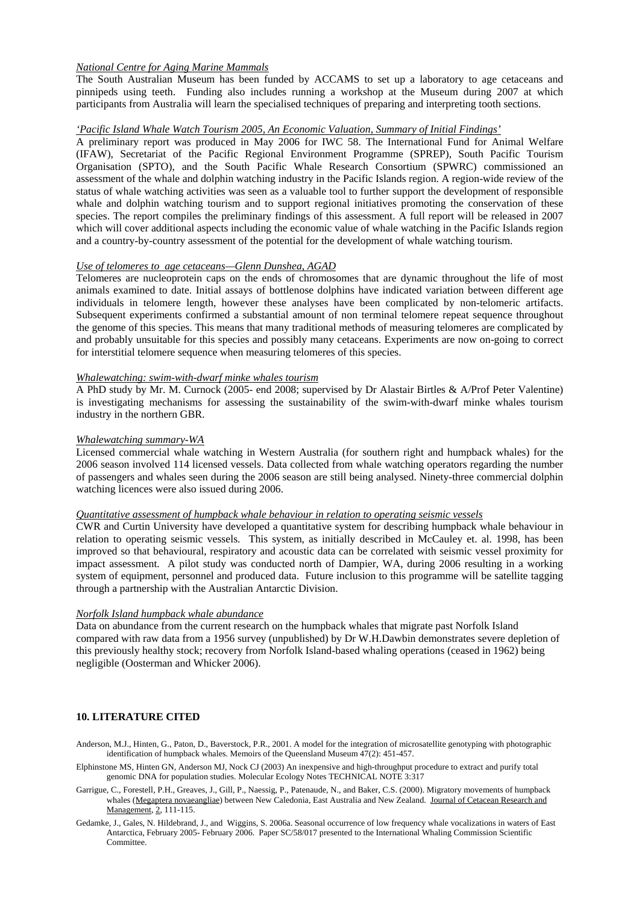#### *National Centre for Aging Marine Mammals*

The South Australian Museum has been funded by ACCAMS to set up a laboratory to age cetaceans and pinnipeds using teeth. Funding also includes running a workshop at the Museum during 2007 at which participants from Australia will learn the specialised techniques of preparing and interpreting tooth sections.

#### *'Pacific Island Whale Watch Tourism 2005, An Economic Valuation, Summary of Initial Findings'*

A preliminary report was produced in May 2006 for IWC 58. The International Fund for Animal Welfare (IFAW), Secretariat of the Pacific Regional Environment Programme (SPREP), South Pacific Tourism Organisation (SPTO), and the South Pacific Whale Research Consortium (SPWRC) commissioned an assessment of the whale and dolphin watching industry in the Pacific Islands region. A region-wide review of the status of whale watching activities was seen as a valuable tool to further support the development of responsible whale and dolphin watching tourism and to support regional initiatives promoting the conservation of these species. The report compiles the preliminary findings of this assessment. A full report will be released in 2007 which will cover additional aspects including the economic value of whale watching in the Pacific Islands region and a country-by-country assessment of the potential for the development of whale watching tourism.

#### *Use of telomeres to age cetaceans—Glenn Dunshea, AGAD*

Telomeres are nucleoprotein caps on the ends of chromosomes that are dynamic throughout the life of most animals examined to date. Initial assays of bottlenose dolphins have indicated variation between different age individuals in telomere length, however these analyses have been complicated by non-telomeric artifacts. Subsequent experiments confirmed a substantial amount of non terminal telomere repeat sequence throughout the genome of this species. This means that many traditional methods of measuring telomeres are complicated by and probably unsuitable for this species and possibly many cetaceans. Experiments are now on-going to correct for interstitial telomere sequence when measuring telomeres of this species.

#### *Whalewatching: swim-with-dwarf minke whales tourism*

A PhD study by Mr. M. Curnock (2005- end 2008; supervised by Dr Alastair Birtles & A/Prof Peter Valentine) is investigating mechanisms for assessing the sustainability of the swim-with-dwarf minke whales tourism industry in the northern GBR.

#### *Whalewatching summary-WA*

Licensed commercial whale watching in Western Australia (for southern right and humpback whales) for the 2006 season involved 114 licensed vessels. Data collected from whale watching operators regarding the number of passengers and whales seen during the 2006 season are still being analysed. Ninety-three commercial dolphin watching licences were also issued during 2006.

#### *Quantitative assessment of humpback whale behaviour in relation to operating seismic vessels*

CWR and Curtin University have developed a quantitative system for describing humpback whale behaviour in relation to operating seismic vessels. This system, as initially described in McCauley et. al. 1998, has been improved so that behavioural, respiratory and acoustic data can be correlated with seismic vessel proximity for impact assessment. A pilot study was conducted north of Dampier, WA, during 2006 resulting in a working system of equipment, personnel and produced data. Future inclusion to this programme will be satellite tagging through a partnership with the Australian Antarctic Division.

#### *Norfolk Island humpback whale abundance*

Data on abundance from the current research on the humpback whales that migrate past Norfolk Island compared with raw data from a 1956 survey (unpublished) by Dr W.H.Dawbin demonstrates severe depletion of this previously healthy stock; recovery from Norfolk Island-based whaling operations (ceased in 1962) being negligible (Oosterman and Whicker 2006).

#### **10. LITERATURE CITED**

Anderson, M.J., Hinten, G., Paton, D., Baverstock, P.R., 2001. A model for the integration of microsatellite genotyping with photographic identification of humpback whales. Memoirs of the Queensland Museum 47(2): 451-457.

- Elphinstone MS, Hinten GN, Anderson MJ, Nock CJ (2003) An inexpensive and high-throughput procedure to extract and purify total genomic DNA for population studies. Molecular Ecology Notes TECHNICAL NOTE 3:317
- Garrigue, C., Forestell, P.H., Greaves, J., Gill, P., Naessig, P., Patenaude, N., and Baker, C.S. (2000). Migratory movements of humpback whales (Megaptera novaeangliae) between New Caledonia, East Australia and New Zealand. Journal of Cetacean Research and Management, 2, 111-115.
- Gedamke, J., Gales, N. Hildebrand, J., and Wiggins, S. 2006a. Seasonal occurrence of low frequency whale vocalizations in waters of East Antarctica, February 2005- February 2006. Paper SC/58/017 presented to the International Whaling Commission Scientific Committee.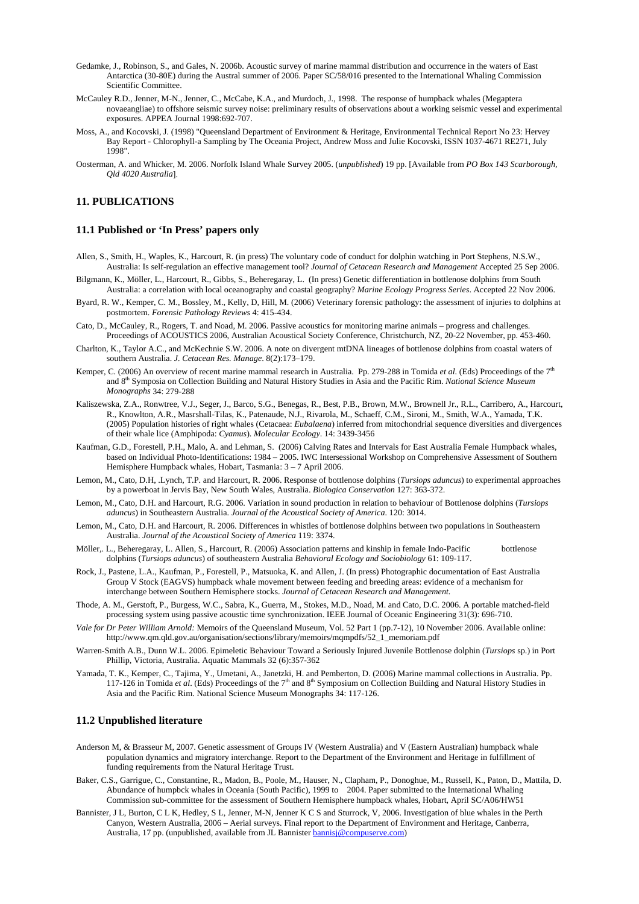- Gedamke, J., Robinson, S., and Gales, N. 2006b. Acoustic survey of marine mammal distribution and occurrence in the waters of East Antarctica (30-80E) during the Austral summer of 2006. Paper SC/58/016 presented to the International Whaling Commission Scientific Committee.
- McCauley R.D., Jenner, M-N., Jenner, C., McCabe, K.A., and Murdoch, J., 1998. The response of humpback whales (Megaptera novaeangliae) to offshore seismic survey noise: preliminary results of observations about a working seismic vessel and experimental exposures. APPEA Journal 1998:692-707.
- Moss, A., and Kocovski, J. (1998) "Queensland Department of Environment & Heritage, Environmental Technical Report No 23: Hervey Bay Report - Chlorophyll-a Sampling by The Oceania Project, Andrew Moss and Julie Kocovski, ISSN 1037-4671 RE271, July 1998".
- Oosterman, A. and Whicker, M. 2006. Norfolk Island Whale Survey 2005. (*unpublished*) 19 pp. [Available from *PO Box 143 Scarborough, Qld 4020 Australia*].

#### **11. PUBLICATIONS**

#### **11.1 Published or 'In Press' papers only**

- Allen, S., Smith, H., Waples, K., Harcourt, R. (in press) The voluntary code of conduct for dolphin watching in Port Stephens, N.S.W., Australia: Is self-regulation an effective management tool? *Journal of Cetacean Research and Management* Accepted 25 Sep 2006.
- Bilgmann, K., Möller, L., Harcourt, R., Gibbs, S., Beheregaray, L. (In press) Genetic differentiation in bottlenose dolphins from South Australia: a correlation with local oceanography and coastal geography? *Marine Ecology Progress Series*. Accepted 22 Nov 2006.
- Byard, R. W., Kemper, C. M., Bossley, M., Kelly, D, Hill, M. (2006) Veterinary forensic pathology: the assessment of injuries to dolphins at postmortem. *Forensic Pathology Reviews* 4: 415-434.
- Cato, D., McCauley, R., Rogers, T. and Noad, M. 2006. Passive acoustics for monitoring marine animals progress and challenges. Proceedings of ACOUSTICS 2006, Australian Acoustical Society Conference, Christchurch, NZ, 20-22 November, pp. 453-460.
- Charlton, K., Taylor A.C., and McKechnie S.W. 2006. A note on divergent mtDNA lineages of bottlenose dolphins from coastal waters of southern Australia. *J. Cetacean Res. Manage*. 8(2):173–179.
- Kemper, C. (2006) An overview of recent marine mammal research in Australia. Pp. 279-288 in Tomida *et al.* (Eds) Proceedings of the 7<sup>th</sup> and 8th Symposia on Collection Building and Natural History Studies in Asia and the Pacific Rim. *National Science Museum Monographs* 34: 279-288
- Kaliszewska, Z.A., Ronwtree, V.J., Seger, J., Barco, S.G., Benegas, R., Best, P.B., Brown, M.W., Brownell Jr., R.L., Carribero, A., Harcourt, R., Knowlton, A.R., Masrshall-Tilas, K., Patenaude, N.J., Rivarola, M., Schaeff, C.M., Sironi, M., Smith, W.A., Yamada, T.K. (2005) Population histories of right whales (Cetacaea: *Eubalaena*) inferred from mitochondrial sequence diversities and divergences of their whale lice (Amphipoda: *Cyamus*). *Molecular Ecology*. 14: 3439-3456
- Kaufman, G.D., Forestell, P.H., Malo, A. and Lehman, S. (2006) Calving Rates and Intervals for East Australia Female Humpback whales, based on Individual Photo-Identifications: 1984 – 2005. IWC Intersessional Workshop on Comprehensive Assessment of Southern Hemisphere Humpback whales, Hobart, Tasmania: 3 – 7 April 2006.
- Lemon, M., Cato, D.H, .Lynch, T.P. and Harcourt, R. 2006. Response of bottlenose dolphins (*Tursiops aduncus*) to experimental approaches by a powerboat in Jervis Bay, New South Wales, Australia. *Biologica Conservation* 127: 363-372.
- Lemon, M., Cato, D.H. and Harcourt, R.G. 2006. Variation in sound production in relation to behaviour of Bottlenose dolphins (*Tursiops aduncus*) in Southeastern Australia. *Journal of the Acoustical Society of America*. 120: 3014.
- Lemon, M., Cato, D.H. and Harcourt, R. 2006. Differences in whistles of bottlenose dolphins between two populations in Southeastern Australia. *Journal of the Acoustical Society of America* 119: 3374.
- Möller,. L., Beheregaray, L. Allen, S., Harcourt, R. (2006) Association patterns and kinship in female Indo-Pacific bottlenose dolphins (*Tursiops aduncus*) of southeastern Australia *Behavioral Ecology and Sociobiology* 61: 109-117.
- Rock, J., Pastene, L.A., Kaufman, P., Forestell, P., Matsuoka, K. and Allen, J. (In press) Photographic documentation of East Australia Group V Stock (EAGVS) humpback whale movement between feeding and breeding areas: evidence of a mechanism for interchange between Southern Hemisphere stocks. *Journal of Cetacean Research and Management.*
- Thode, A. M., Gerstoft, P., Burgess, W.C., Sabra, K., Guerra, M., Stokes, M.D., Noad, M. and Cato, D.C. 2006. A portable matched-field processing system using passive acoustic time synchronization. IEEE Journal of Oceanic Engineering 31(3): 696-710.
- *Vale for Dr Peter William Arnold:* Memoirs of the Queensland Museum, Vol. 52 Part 1 (pp.7-12), 10 November 2006. Available online: http://www.qm.qld.gov.au/organisation/sections/library/memoirs/mqmpdfs/52\_1\_memoriam.pdf
- Warren-Smith A.B., Dunn W.L. 2006. Epimeletic Behaviour Toward a Seriously Injured Juvenile Bottlenose dolphin (*Tursiops* sp.) in Port Phillip, Victoria, Australia. Aquatic Mammals 32 (6):357-362
- Yamada, T. K., Kemper, C., Tajima, Y., Umetani, A., Janetzki, H. and Pemberton, D. (2006) Marine mammal collections in Australia. Pp. 117-126 in Tomida *et al*. (Eds) Proceedings of the 7th and 8th Symposium on Collection Building and Natural History Studies in Asia and the Pacific Rim. National Science Museum Monographs 34: 117-126.

#### **11.2 Unpublished literature**

- Anderson M, & Brasseur M, 2007. Genetic assessment of Groups IV (Western Australia) and V (Eastern Australian) humpback whale population dynamics and migratory interchange. Report to the Department of the Environment and Heritage in fulfillment of funding requirements from the Natural Heritage Trust.
- Baker, C.S., Garrigue, C., Constantine, R., Madon, B., Poole, M., Hauser, N., Clapham, P., Donoghue, M., Russell, K., Paton, D., Mattila, D. Abundance of humpbck whales in Oceania (South Pacific), 1999 to 2004. Paper submitted to the International Whaling Commission sub-committee for the assessment of Southern Hemisphere humpback whales, Hobart, April SC/A06/HW51
- Bannister, J L, Burton, C L K, Hedley, S L, Jenner, M-N, Jenner K C S and Sturrock, V, 2006. Investigation of blue whales in the Perth Canyon, Western Australia, 2006 – Aerial surveys. Final report to the Department of Environment and Heritage, Canberra, Australia, 17 pp. (unpublished, available from JL Bannister **bannisj@compuserve.com**)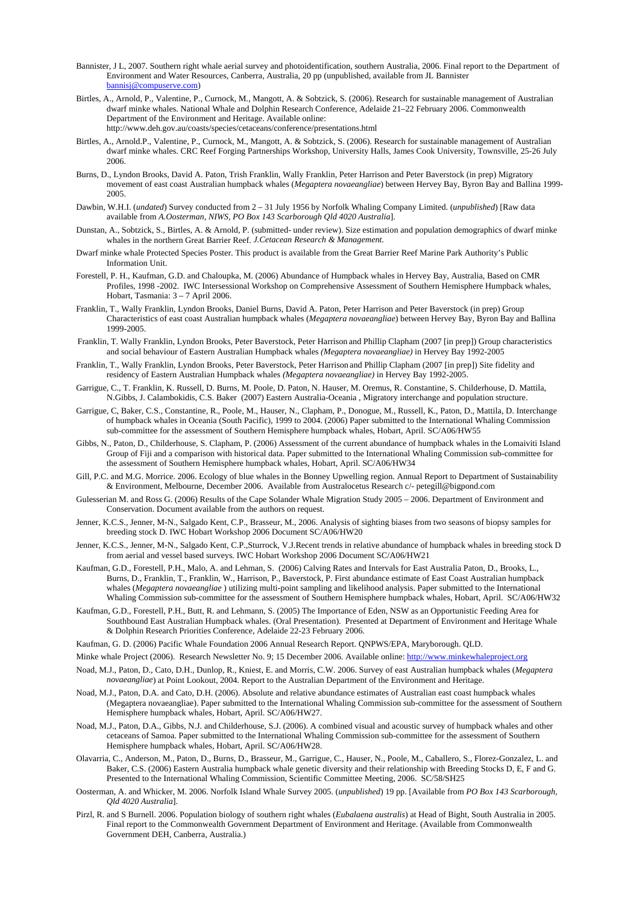- Bannister, J L, 2007. Southern right whale aerial survey and photoidentification, southern Australia, 2006. Final report to the Department of Environment and Water Resources, Canberra, Australia, 20 pp (unpublished, available from JL Bannister bannisj@compuserve.com)
- Birtles, A., Arnold, P., Valentine, P., Curnock, M., Mangott, A. & Sobtzick, S. (2006). Research for sustainable management of Australian dwarf minke whales. National Whale and Dolphin Research Conference, Adelaide 21–22 February 2006. Commonwealth Department of the Environment and Heritage. Available online: http://www.deh.gov.au/coasts/species/cetaceans/conference/presentations.html
- Birtles, A., Arnold.P., Valentine, P., Curnock, M., Mangott, A. & Sobtzick, S. (2006). Research for sustainable management of Australian dwarf minke whales. CRC Reef Forging Partnerships Workshop, University Halls, James Cook University, Townsville, 25-26 July 2006.
- Burns, D., Lyndon Brooks, David A. Paton, Trish Franklin, Wally Franklin, Peter Harrison and Peter Baverstock (in prep) Migratory movement of east coast Australian humpback whales (*Megaptera novaeangliae*) between Hervey Bay, Byron Bay and Ballina 1999- 2005.
- Dawbin, W.H.I. (*undated*) Survey conducted from 2 31 July 1956 by Norfolk Whaling Company Limited. (*unpublished*) [Raw data available from *A.Oosterman, NIWS, PO Box 143 Scarborough Qld 4020 Australia*].
- Dunstan, A., Sobtzick, S., Birtles, A. & Arnold, P. (submitted- under review). Size estimation and population demographics of dwarf minke whales in the northern Great Barrier Reef. *J.Cetacean Research & Management.*
- Dwarf minke whale Protected Species Poster. This product is available from the Great Barrier Reef Marine Park Authority's Public Information Unit.
- Forestell, P. H., Kaufman, G.D. and Chaloupka, M. (2006) Abundance of Humpback whales in Hervey Bay, Australia, Based on CMR Profiles, 1998 -2002. IWC Intersessional Workshop on Comprehensive Assessment of Southern Hemisphere Humpback whales, Hobart, Tasmania: 3 – 7 April 2006.
- Franklin, T., Wally Franklin, Lyndon Brooks, Daniel Burns, David A. Paton, Peter Harrison and Peter Baverstock (in prep) Group Characteristics of east coast Australian humpback whales (*Megaptera novaeangliae*) between Hervey Bay, Byron Bay and Ballina 1999-2005.
- Franklin, T. Wally Franklin, Lyndon Brooks, Peter Baverstock, Peter Harrison and Phillip Clapham (2007 [in prep]) Group characteristics and social behaviour of Eastern Australian Humpback whales *(Megaptera novaeangliae)* in Hervey Bay 1992-2005
- Franklin, T., Wally Franklin, Lyndon Brooks, Peter Baverstock, Peter Harrison and Phillip Clapham (2007 [in prep]) Site fidelity and residency of Eastern Australian Humpback whales *(Megaptera novaeangliae)* in Hervey Bay 1992-2005.
- Garrigue, C., T. Franklin, K. Russell, D. Burns, M. Poole, D. Paton, N. Hauser, M. Oremus, R. Constantine, S. Childerhouse, D. Mattila, N.Gibbs, J. Calambokidis, C.S. Baker (2007) Eastern Australia-Oceania , Migratory interchange and population structure.
- Garrigue, C, Baker, C.S., Constantine, R., Poole, M., Hauser, N., Clapham, P., Donogue, M., Russell, K., Paton, D., Mattila, D. Interchange of humpback whales in Oceania (South Pacific), 1999 to 2004. (2006) Paper submitted to the International Whaling Commission sub-committee for the assessment of Southern Hemisphere humpback whales, Hobart, April. SC/A06/HW55
- Gibbs, N., Paton, D., Childerhouse, S. Clapham, P. (2006) Assessment of the current abundance of humpback whales in the Lomaiviti Island Group of Fiji and a comparison with historical data. Paper submitted to the International Whaling Commission sub-committee for the assessment of Southern Hemisphere humpback whales, Hobart, April. SC/A06/HW34
- Gill, P.C. and M.G. Morrice. 2006. Ecology of blue whales in the Bonney Upwelling region. Annual Report to Department of Sustainability & Environment, Melbourne, December 2006. Available from Australocetus Research c/- petegill@bigpond.com
- Gulesserian M. and Ross G. (2006) Results of the Cape Solander Whale Migration Study 2005 2006. Department of Environment and Conservation. Document available from the authors on request.
- Jenner, K.C.S., Jenner, M-N., Salgado Kent, C.P., Brasseur, M., 2006. Analysis of sighting biases from two seasons of biopsy samples for breeding stock D. IWC Hobart Workshop 2006 Document SC/A06/HW20
- Jenner, K.C.S., Jenner, M-N., Salgado Kent, C.P.,Sturrock, V.J.Recent trends in relative abundance of humpback whales in breeding stock D from aerial and vessel based surveys. IWC Hobart Workshop 2006 Document SC/A06/HW21
- Kaufman, G.D., Forestell, P.H., Malo, A. and Lehman, S. (2006) Calving Rates and Intervals for East Australia Paton, D., Brooks, L., Burns, D., Franklin, T., Franklin, W., Harrison, P., Baverstock, P. First abundance estimate of East Coast Australian humpback whales (*Megaptera novaeangliae* ) utilizing multi-point sampling and likelihood analysis. Paper submitted to the International Whaling Commission sub-committee for the assessment of Southern Hemisphere humpback whales, Hobart, April. SC/A06/HW32
- Kaufman, G.D., Forestell, P.H., Butt, R. and Lehmann, S. (2005) The Importance of Eden, NSW as an Opportunistic Feeding Area for Southbound East Australian Humpback whales. (Oral Presentation). Presented at Department of Environment and Heritage Whale & Dolphin Research Priorities Conference, Adelaide 22-23 February 2006.
- Kaufman, G. D. (2006) Pacific Whale Foundation 2006 Annual Research Report. QNPWS/EPA, Maryborough. QLD.
- Minke whale Project (2006). Research Newsletter No. 9; 15 December 2006. Available online: http://www.minkewhaleproject.org
- Noad, M.J., Paton, D., Cato, D.H., Dunlop, R., Kniest, E. and Morris, C.W. 2006. Survey of east Australian humpback whales (*Megaptera novaeangliae*) at Point Lookout, 2004. Report to the Australian Department of the Environment and Heritage.
- Noad, M.J., Paton, D.A. and Cato, D.H. (2006). Absolute and relative abundance estimates of Australian east coast humpback whales (Megaptera novaeangliae). Paper submitted to the International Whaling Commission sub-committee for the assessment of Southern Hemisphere humpback whales, Hobart, April. SC/A06/HW27.
- Noad, M.J., Paton, D.A., Gibbs, N.J. and Childerhouse, S.J. (2006). A combined visual and acoustic survey of humpback whales and other cetaceans of Samoa. Paper submitted to the International Whaling Commission sub-committee for the assessment of Southern Hemisphere humpback whales, Hobart, April. SC/A06/HW28.
- Olavarria, C., Anderson, M., Paton, D., Burns, D., Brasseur, M., Garrigue, C., Hauser, N., Poole, M., Caballero, S., Florez-Gonzalez, L. and Baker, C.S. (2006) Eastern Australia humpback whale genetic diversity and their relationship with Breeding Stocks D, E, F and G. Presented to the International Whaling Commission, Scientific Committee Meeting, 2006. SC/58/SH25
- Oosterman, A. and Whicker, M. 2006. Norfolk Island Whale Survey 2005. (*unpublished*) 19 pp. [Available from *PO Box 143 Scarborough, Qld 4020 Australia*].
- Pirzl, R. and S Burnell. 2006. Population biology of southern right whales (*Eubalaena australis*) at Head of Bight, South Australia in 2005. Final report to the Commonwealth Government Department of Environment and Heritage. (Available from Commonwealth Government DEH, Canberra, Australia.)